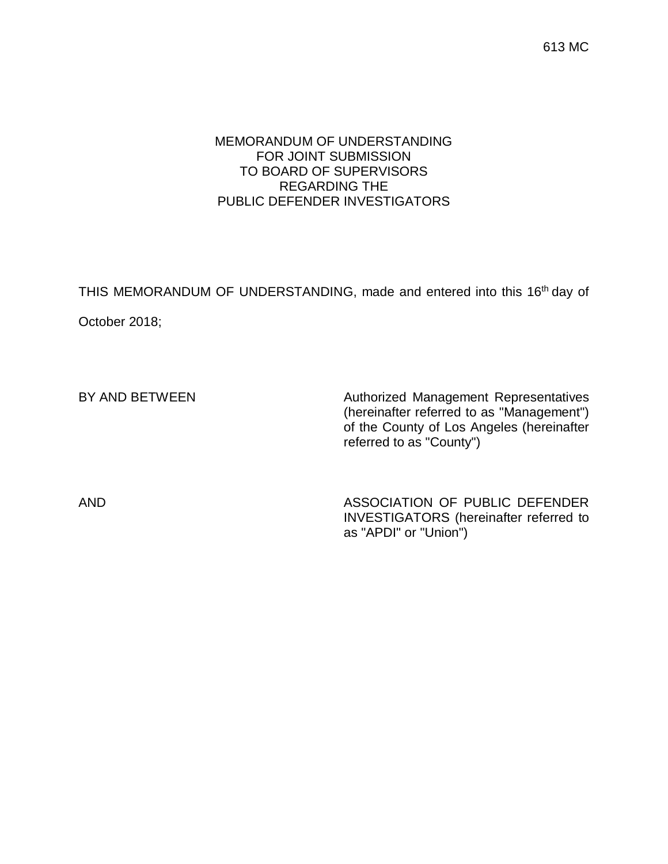613 MC

## MEMORANDUM OF UNDERSTANDING FOR JOINT SUBMISSION TO BOARD OF SUPERVISORS REGARDING THE PUBLIC DEFENDER INVESTIGATORS

THIS MEMORANDUM OF UNDERSTANDING, made and entered into this 16<sup>th</sup> day of October 2018;

BY AND BETWEEN Authorized Management Representatives (hereinafter referred to as "Management") of the County of Los Angeles (hereinafter referred to as "County")

AND ASSOCIATION OF PUBLIC DEFENDER INVESTIGATORS (hereinafter referred to as "APDI" or "Union")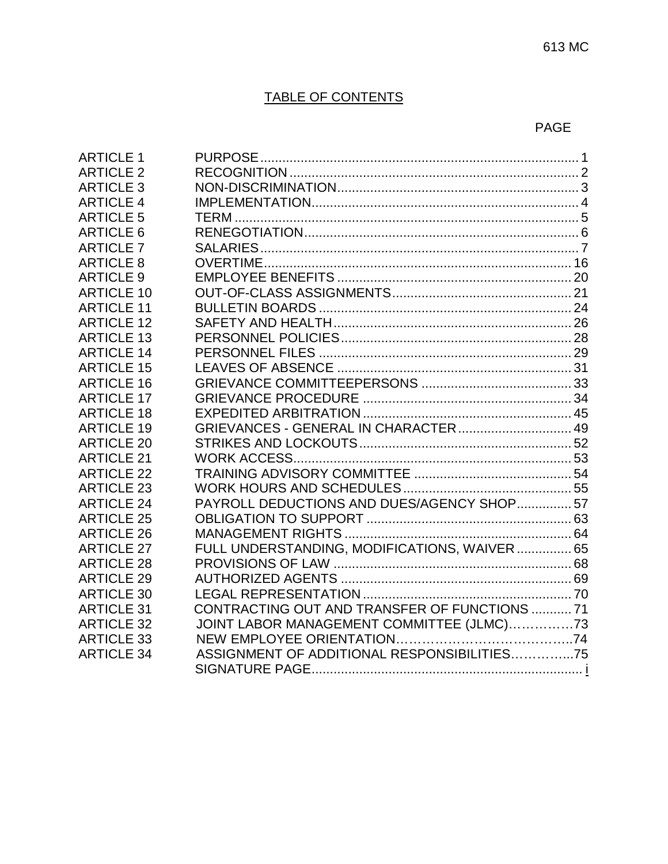# TABLE OF CONTENTS

## PAGE

| <b>ARTICLE 1</b>  |                                               |  |
|-------------------|-----------------------------------------------|--|
| <b>ARTICLE 2</b>  |                                               |  |
| <b>ARTICLE 3</b>  |                                               |  |
| <b>ARTICLE 4</b>  |                                               |  |
| <b>ARTICLE 5</b>  |                                               |  |
| <b>ARTICLE 6</b>  |                                               |  |
| <b>ARTICLE 7</b>  |                                               |  |
| <b>ARTICLE 8</b>  |                                               |  |
| <b>ARTICLE 9</b>  |                                               |  |
| <b>ARTICLE 10</b> |                                               |  |
| <b>ARTICLE 11</b> |                                               |  |
| <b>ARTICLE 12</b> |                                               |  |
| <b>ARTICLE 13</b> |                                               |  |
| <b>ARTICLE 14</b> |                                               |  |
| <b>ARTICLE 15</b> |                                               |  |
| <b>ARTICLE 16</b> |                                               |  |
| <b>ARTICLE 17</b> |                                               |  |
| <b>ARTICLE 18</b> |                                               |  |
| <b>ARTICLE 19</b> | GRIEVANCES - GENERAL IN CHARACTER  49         |  |
| <b>ARTICLE 20</b> |                                               |  |
| <b>ARTICLE 21</b> |                                               |  |
| <b>ARTICLE 22</b> |                                               |  |
| <b>ARTICLE 23</b> |                                               |  |
| <b>ARTICLE 24</b> | PAYROLL DEDUCTIONS AND DUES/AGENCY SHOP57     |  |
| <b>ARTICLE 25</b> |                                               |  |
| <b>ARTICLE 26</b> |                                               |  |
| <b>ARTICLE 27</b> | FULL UNDERSTANDING, MODIFICATIONS, WAIVER  65 |  |
| <b>ARTICLE 28</b> |                                               |  |
| <b>ARTICLE 29</b> |                                               |  |
| <b>ARTICLE 30</b> |                                               |  |
| <b>ARTICLE 31</b> | CONTRACTING OUT AND TRANSFER OF FUNCTIONS  71 |  |
| <b>ARTICLE 32</b> | JOINT LABOR MANAGEMENT COMMITTEE (JLMC)73     |  |
| <b>ARTICLE 33</b> |                                               |  |
| <b>ARTICLE 34</b> | ASSIGNMENT OF ADDITIONAL RESPONSIBILITIES75   |  |
|                   |                                               |  |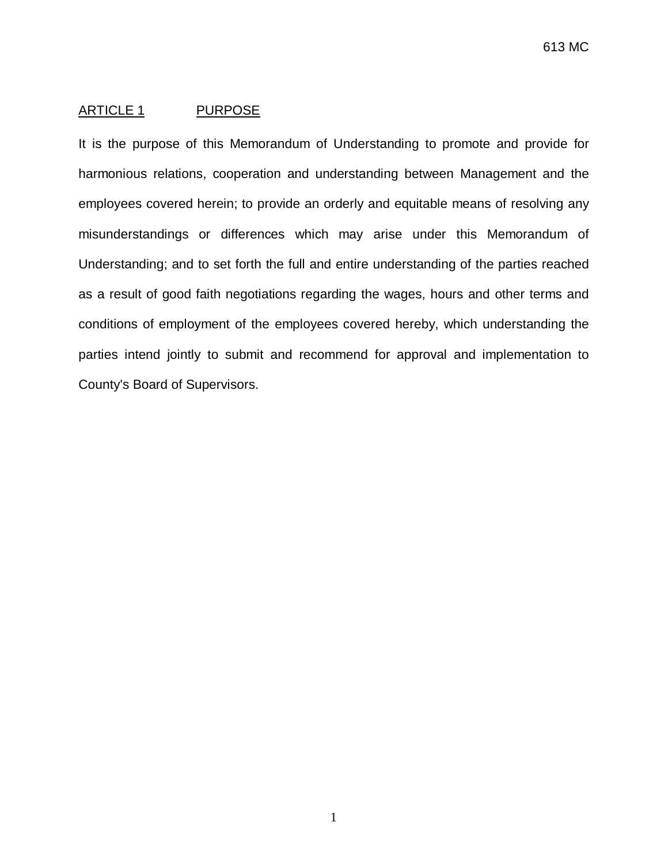## <span id="page-2-0"></span>ARTICLE 1 PURPOSE

It is the purpose of this Memorandum of Understanding to promote and provide for harmonious relations, cooperation and understanding between Management and the employees covered herein; to provide an orderly and equitable means of resolving any misunderstandings or differences which may arise under this Memorandum of Understanding; and to set forth the full and entire understanding of the parties reached as a result of good faith negotiations regarding the wages, hours and other terms and conditions of employment of the employees covered hereby, which understanding the parties intend jointly to submit and recommend for approval and implementation to County's Board of Supervisors.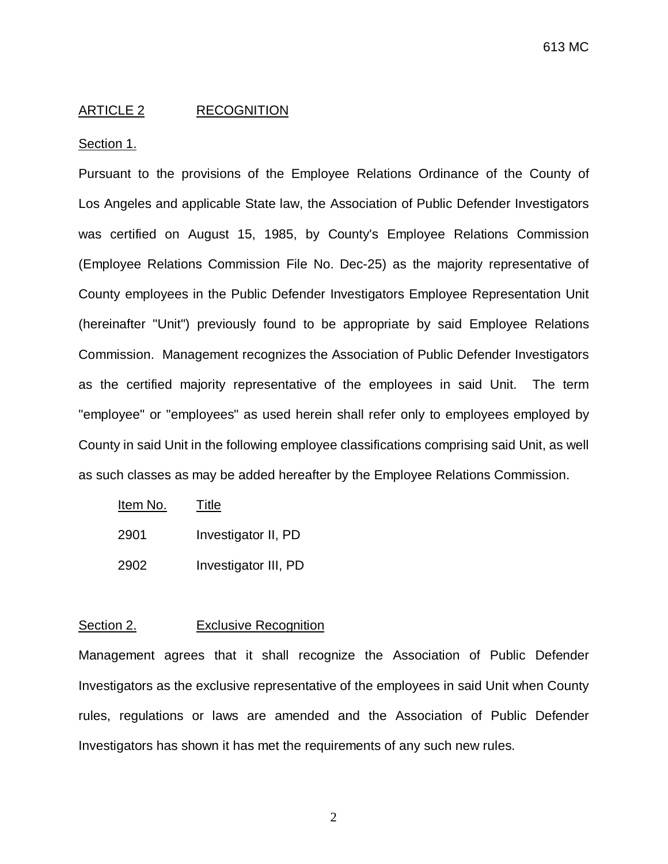### <span id="page-3-0"></span>ARTICLE 2 RECOGNITION

#### Section 1.

Pursuant to the provisions of the Employee Relations Ordinance of the County of Los Angeles and applicable State law, the Association of Public Defender Investigators was certified on August 15, 1985, by County's Employee Relations Commission (Employee Relations Commission File No. Dec-25) as the majority representative of County employees in the Public Defender Investigators Employee Representation Unit (hereinafter "Unit") previously found to be appropriate by said Employee Relations Commission. Management recognizes the Association of Public Defender Investigators as the certified majority representative of the employees in said Unit. The term "employee" or "employees" as used herein shall refer only to employees employed by County in said Unit in the following employee classifications comprising said Unit, as well as such classes as may be added hereafter by the Employee Relations Commission.

| Item No. | Title                |
|----------|----------------------|
| 2901     | Investigator II, PD  |
| 2902     | Investigator III, PD |

## Section 2. **Exclusive Recognition**

Management agrees that it shall recognize the Association of Public Defender Investigators as the exclusive representative of the employees in said Unit when County rules, regulations or laws are amended and the Association of Public Defender Investigators has shown it has met the requirements of any such new rules.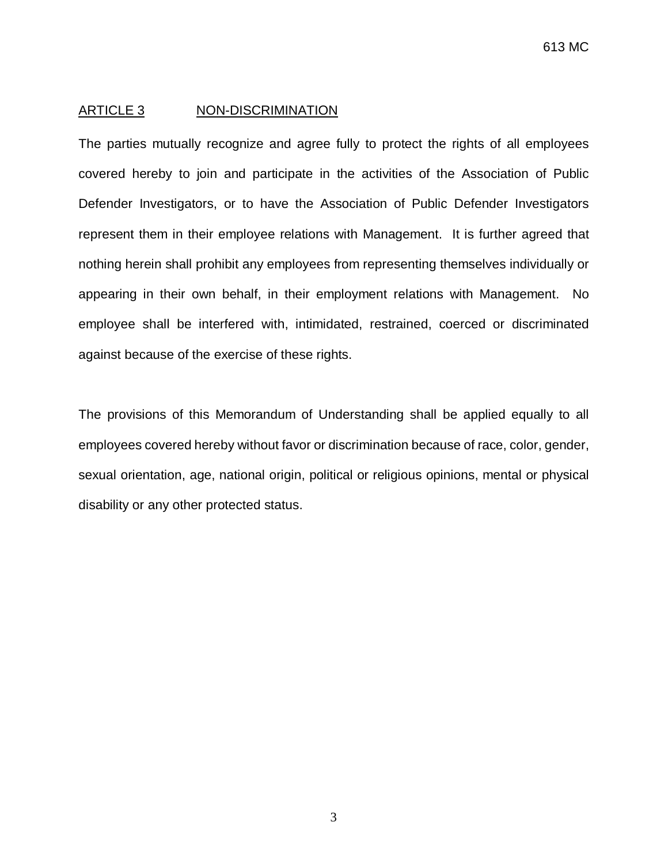### <span id="page-4-0"></span>ARTICLE 3 NON-DISCRIMINATION

The parties mutually recognize and agree fully to protect the rights of all employees covered hereby to join and participate in the activities of the Association of Public Defender Investigators, or to have the Association of Public Defender Investigators represent them in their employee relations with Management. It is further agreed that nothing herein shall prohibit any employees from representing themselves individually or appearing in their own behalf, in their employment relations with Management. No employee shall be interfered with, intimidated, restrained, coerced or discriminated against because of the exercise of these rights.

The provisions of this Memorandum of Understanding shall be applied equally to all employees covered hereby without favor or discrimination because of race, color, gender, sexual orientation, age, national origin, political or religious opinions, mental or physical disability or any other protected status.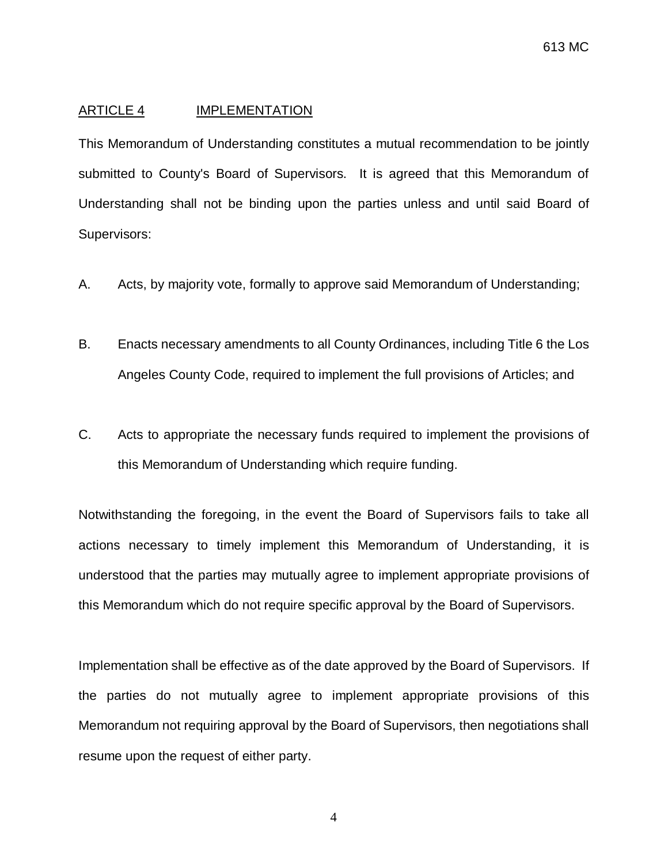### <span id="page-5-0"></span>ARTICLE 4 IMPLEMENTATION

This Memorandum of Understanding constitutes a mutual recommendation to be jointly submitted to County's Board of Supervisors. It is agreed that this Memorandum of Understanding shall not be binding upon the parties unless and until said Board of Supervisors:

- A. Acts, by majority vote, formally to approve said Memorandum of Understanding;
- B. Enacts necessary amendments to all County Ordinances, including Title 6 the Los Angeles County Code, required to implement the full provisions of Articles; and
- C. Acts to appropriate the necessary funds required to implement the provisions of this Memorandum of Understanding which require funding.

Notwithstanding the foregoing, in the event the Board of Supervisors fails to take all actions necessary to timely implement this Memorandum of Understanding, it is understood that the parties may mutually agree to implement appropriate provisions of this Memorandum which do not require specific approval by the Board of Supervisors.

Implementation shall be effective as of the date approved by the Board of Supervisors. If the parties do not mutually agree to implement appropriate provisions of this Memorandum not requiring approval by the Board of Supervisors, then negotiations shall resume upon the request of either party.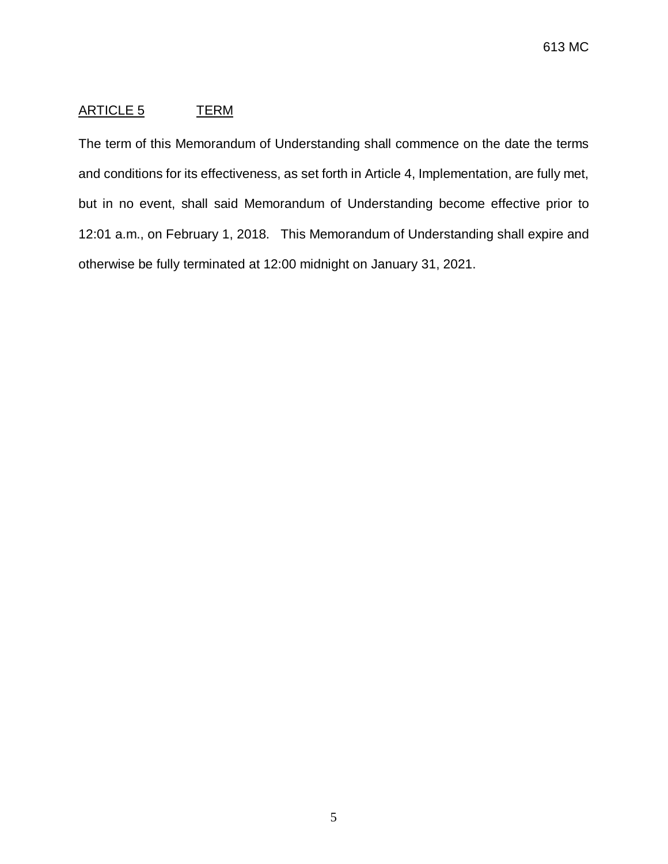# <span id="page-6-0"></span>ARTICLE 5 TERM

The term of this Memorandum of Understanding shall commence on the date the terms and conditions for its effectiveness, as set forth in Article 4, Implementation, are fully met, but in no event, shall said Memorandum of Understanding become effective prior to 12:01 a.m., on February 1, 2018. This Memorandum of Understanding shall expire and otherwise be fully terminated at 12:00 midnight on January 31, 2021.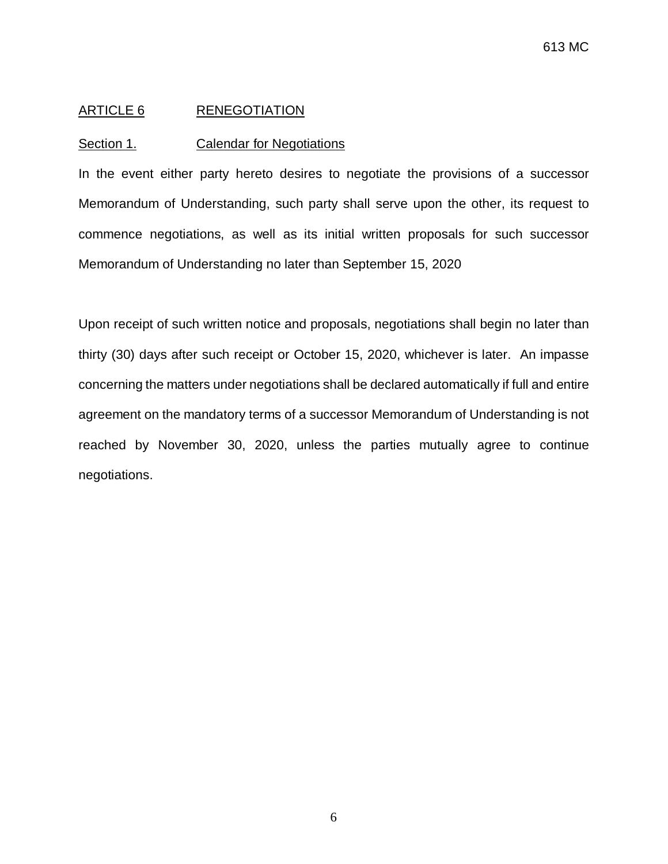### <span id="page-7-0"></span>ARTICLE 6 RENEGOTIATION

#### Section 1. Calendar for Negotiations

In the event either party hereto desires to negotiate the provisions of a successor Memorandum of Understanding, such party shall serve upon the other, its request to commence negotiations, as well as its initial written proposals for such successor Memorandum of Understanding no later than September 15, 2020

Upon receipt of such written notice and proposals, negotiations shall begin no later than thirty (30) days after such receipt or October 15, 2020, whichever is later. An impasse concerning the matters under negotiations shall be declared automatically if full and entire agreement on the mandatory terms of a successor Memorandum of Understanding is not reached by November 30, 2020, unless the parties mutually agree to continue negotiations.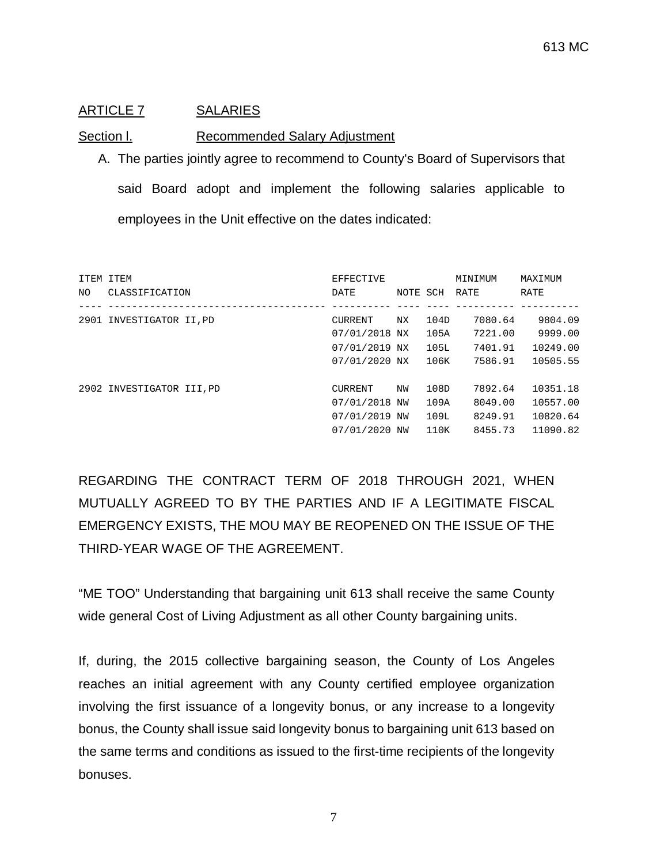## <span id="page-8-0"></span>ARTICLE 7 SALARIES

## Section I. Recommended Salary Adjustment

A. The parties jointly agree to recommend to County's Board of Supervisors that said Board adopt and implement the following salaries applicable to employees in the Unit effective on the dates indicated:

| ITEM ITEM<br>NO. | CLASSIFICATION            | <b>EFFECTIVE</b><br>DATE                                          | NOTE SCH |                              | MINIMUM<br>RATE                          | MAXIMUM<br>RATE                              |
|------------------|---------------------------|-------------------------------------------------------------------|----------|------------------------------|------------------------------------------|----------------------------------------------|
| 2901             | INVESTIGATOR II.PD        | <b>CURRENT</b><br>07/01/2018 NX<br>07/01/2019 NX<br>07/01/2020 NX | NX.      | 104D<br>105A<br>105L<br>106K | 7080.64<br>7221.00<br>7401.91<br>7586.91 | 9804.09<br>9999.00<br>10249.00<br>10505.55   |
|                  | 2902 INVESTIGATOR III, PD | <b>CURRENT</b><br>07/01/2018 NW<br>07/01/2019 NW<br>07/01/2020 NW | NW       | 108D<br>109A<br>109L<br>110K | 7892.64<br>8049.00<br>8249.91<br>8455.73 | 10351.18<br>10557.00<br>10820.64<br>11090.82 |

REGARDING THE CONTRACT TERM OF 2018 THROUGH 2021, WHEN MUTUALLY AGREED TO BY THE PARTIES AND IF A LEGITIMATE FISCAL EMERGENCY EXISTS, THE MOU MAY BE REOPENED ON THE ISSUE OF THE THIRD-YEAR WAGE OF THE AGREEMENT.

"ME TOO" Understanding that bargaining unit 613 shall receive the same County wide general Cost of Living Adjustment as all other County bargaining units.

If, during, the 2015 collective bargaining season, the County of Los Angeles reaches an initial agreement with any County certified employee organization involving the first issuance of a longevity bonus, or any increase to a longevity bonus, the County shall issue said longevity bonus to bargaining unit 613 based on the same terms and conditions as issued to the first-time recipients of the longevity bonuses.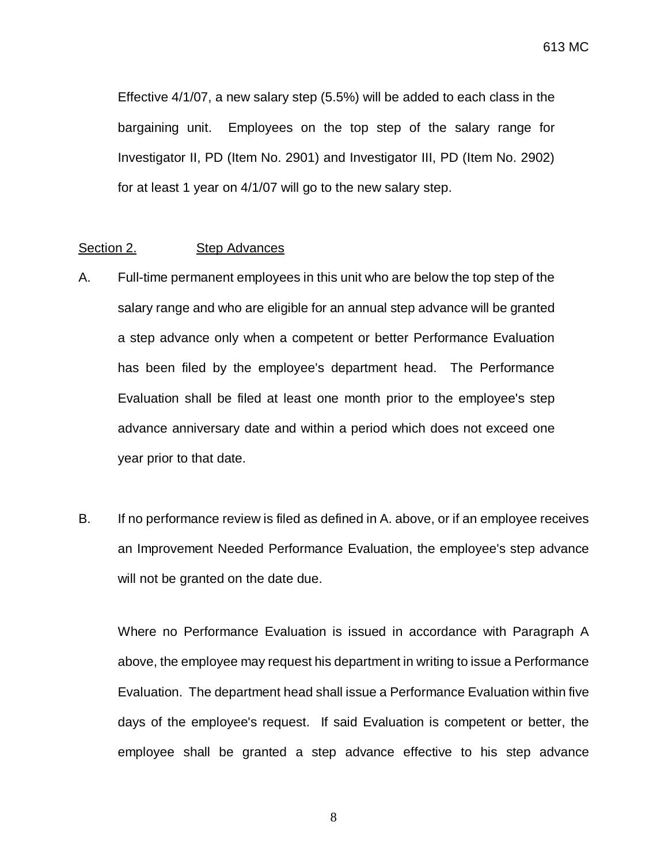Effective 4/1/07, a new salary step (5.5%) will be added to each class in the bargaining unit. Employees on the top step of the salary range for Investigator II, PD (Item No. 2901) and Investigator III, PD (Item No. 2902) for at least 1 year on 4/1/07 will go to the new salary step.

#### Section 2. Step Advances

- A. Full-time permanent employees in this unit who are below the top step of the salary range and who are eligible for an annual step advance will be granted a step advance only when a competent or better Performance Evaluation has been filed by the employee's department head. The Performance Evaluation shall be filed at least one month prior to the employee's step advance anniversary date and within a period which does not exceed one year prior to that date.
- B. If no performance review is filed as defined in A. above, or if an employee receives an Improvement Needed Performance Evaluation, the employee's step advance will not be granted on the date due.

Where no Performance Evaluation is issued in accordance with Paragraph A above, the employee may request his department in writing to issue a Performance Evaluation. The department head shall issue a Performance Evaluation within five days of the employee's request. If said Evaluation is competent or better, the employee shall be granted a step advance effective to his step advance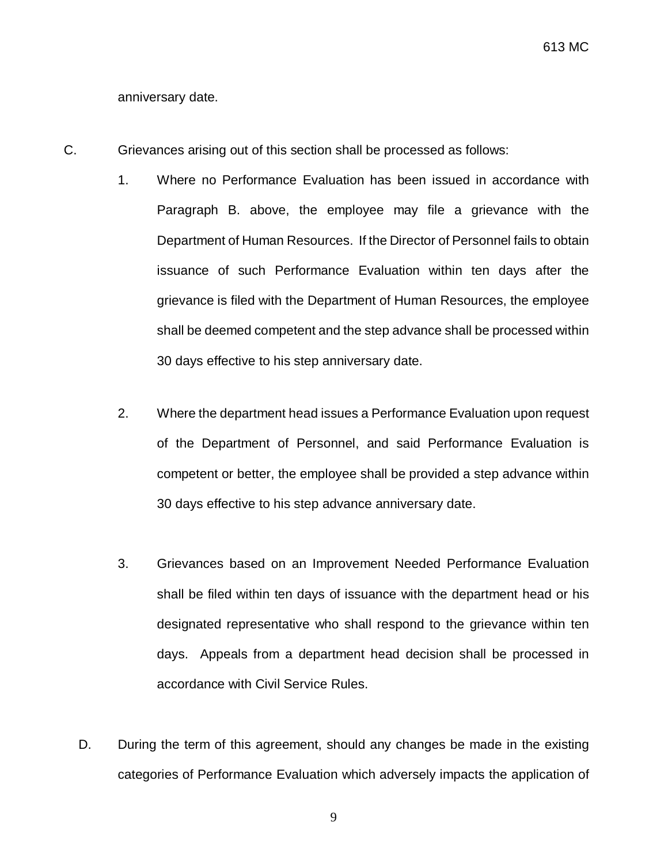anniversary date.

- C. Grievances arising out of this section shall be processed as follows:
	- 1. Where no Performance Evaluation has been issued in accordance with Paragraph B. above, the employee may file a grievance with the Department of Human Resources. If the Director of Personnel fails to obtain issuance of such Performance Evaluation within ten days after the grievance is filed with the Department of Human Resources, the employee shall be deemed competent and the step advance shall be processed within 30 days effective to his step anniversary date.
	- 2. Where the department head issues a Performance Evaluation upon request of the Department of Personnel, and said Performance Evaluation is competent or better, the employee shall be provided a step advance within 30 days effective to his step advance anniversary date.
	- 3. Grievances based on an Improvement Needed Performance Evaluation shall be filed within ten days of issuance with the department head or his designated representative who shall respond to the grievance within ten days. Appeals from a department head decision shall be processed in accordance with Civil Service Rules.
	- D. During the term of this agreement, should any changes be made in the existing categories of Performance Evaluation which adversely impacts the application of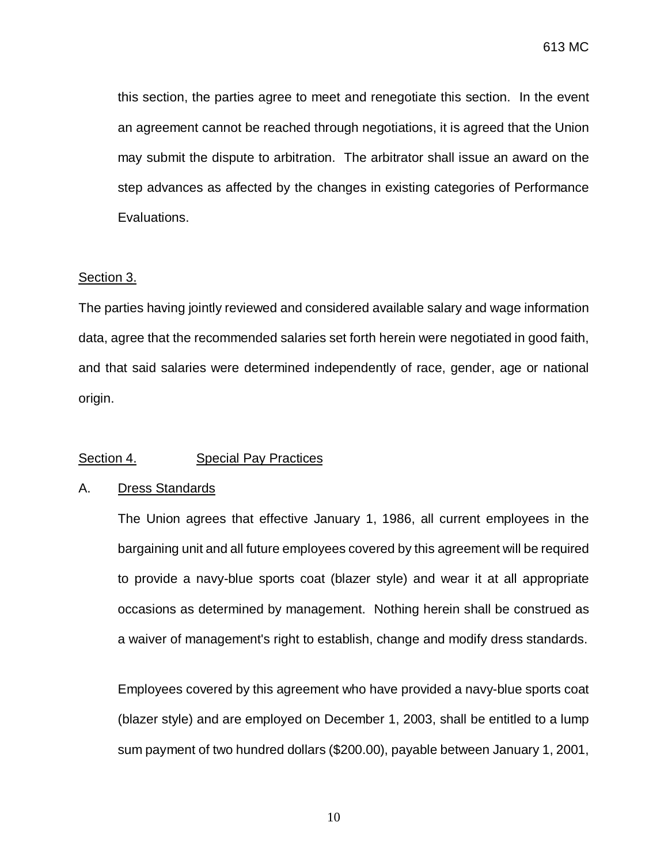this section, the parties agree to meet and renegotiate this section. In the event an agreement cannot be reached through negotiations, it is agreed that the Union may submit the dispute to arbitration. The arbitrator shall issue an award on the step advances as affected by the changes in existing categories of Performance Evaluations.

### Section 3.

The parties having jointly reviewed and considered available salary and wage information data, agree that the recommended salaries set forth herein were negotiated in good faith, and that said salaries were determined independently of race, gender, age or national origin.

## Section 4. Special Pay Practices

### A. Dress Standards

The Union agrees that effective January 1, 1986, all current employees in the bargaining unit and all future employees covered by this agreement will be required to provide a navy-blue sports coat (blazer style) and wear it at all appropriate occasions as determined by management. Nothing herein shall be construed as a waiver of management's right to establish, change and modify dress standards.

Employees covered by this agreement who have provided a navy-blue sports coat (blazer style) and are employed on December 1, 2003, shall be entitled to a lump sum payment of two hundred dollars (\$200.00), payable between January 1, 2001,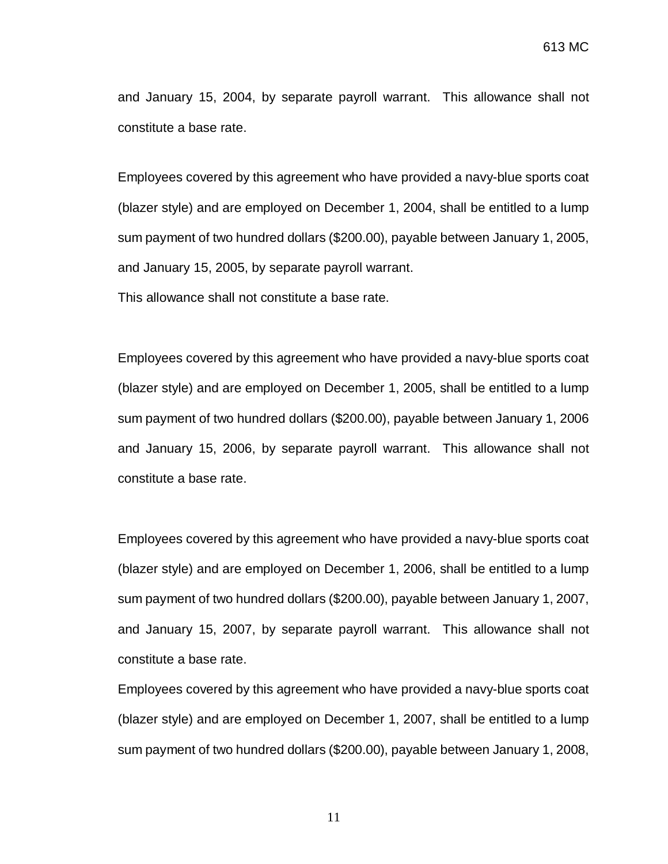and January 15, 2004, by separate payroll warrant. This allowance shall not constitute a base rate.

Employees covered by this agreement who have provided a navy-blue sports coat (blazer style) and are employed on December 1, 2004, shall be entitled to a lump sum payment of two hundred dollars (\$200.00), payable between January 1, 2005, and January 15, 2005, by separate payroll warrant.

This allowance shall not constitute a base rate.

Employees covered by this agreement who have provided a navy-blue sports coat (blazer style) and are employed on December 1, 2005, shall be entitled to a lump sum payment of two hundred dollars (\$200.00), payable between January 1, 2006 and January 15, 2006, by separate payroll warrant. This allowance shall not constitute a base rate.

Employees covered by this agreement who have provided a navy-blue sports coat (blazer style) and are employed on December 1, 2006, shall be entitled to a lump sum payment of two hundred dollars (\$200.00), payable between January 1, 2007, and January 15, 2007, by separate payroll warrant. This allowance shall not constitute a base rate.

Employees covered by this agreement who have provided a navy-blue sports coat (blazer style) and are employed on December 1, 2007, shall be entitled to a lump sum payment of two hundred dollars (\$200.00), payable between January 1, 2008,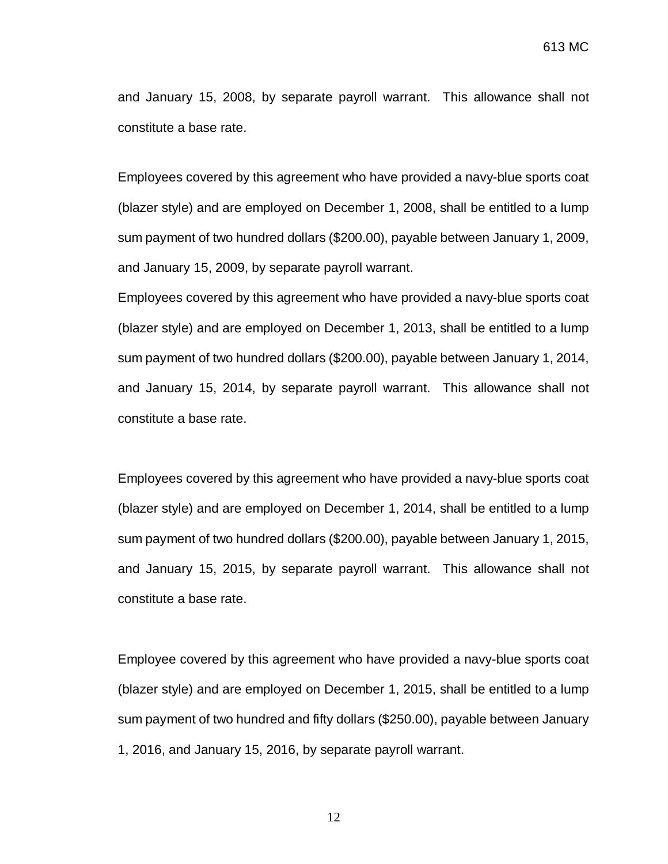and January 15, 2008, by separate payroll warrant. This allowance shall not constitute a base rate.

Employees covered by this agreement who have provided a navy-blue sports coat (blazer style) and are employed on December 1, 2008, shall be entitled to a lump sum payment of two hundred dollars (\$200.00), payable between January 1, 2009, and January 15, 2009, by separate payroll warrant.

Employees covered by this agreement who have provided a navy-blue sports coat (blazer style) and are employed on December 1, 2013, shall be entitled to a lump sum payment of two hundred dollars (\$200.00), payable between January 1, 2014, and January 15, 2014, by separate payroll warrant. This allowance shall not constitute a base rate.

Employees covered by this agreement who have provided a navy-blue sports coat (blazer style) and are employed on December 1, 2014, shall be entitled to a lump sum payment of two hundred dollars (\$200.00), payable between January 1, 2015, and January 15, 2015, by separate payroll warrant. This allowance shall not constitute a base rate.

Employee covered by this agreement who have provided a navy-blue sports coat (blazer style) and are employed on December 1, 2015, shall be entitled to a lump sum payment of two hundred and fifty dollars (\$250.00), payable between January 1, 2016, and January 15, 2016, by separate payroll warrant.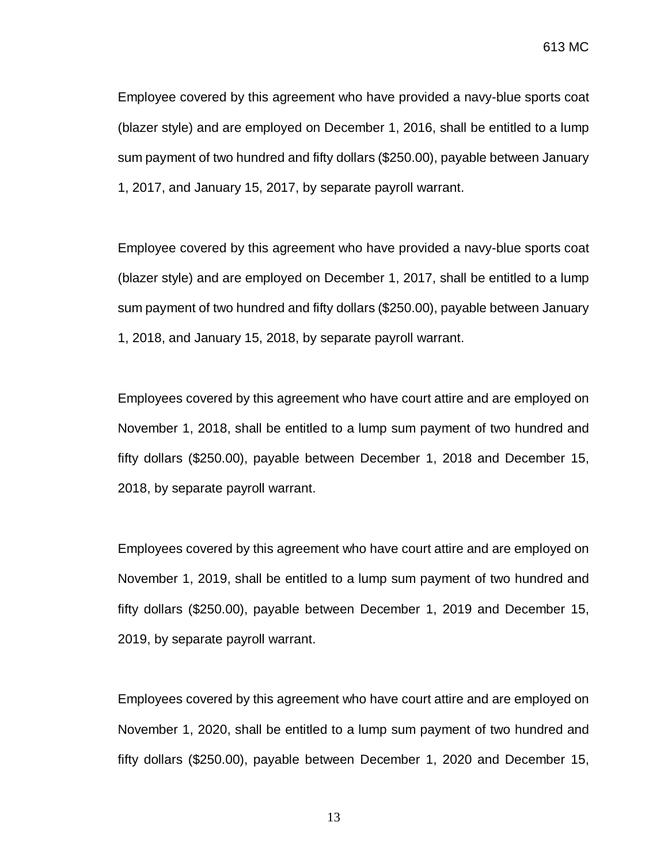Employee covered by this agreement who have provided a navy-blue sports coat (blazer style) and are employed on December 1, 2016, shall be entitled to a lump sum payment of two hundred and fifty dollars (\$250.00), payable between January 1, 2017, and January 15, 2017, by separate payroll warrant.

Employee covered by this agreement who have provided a navy-blue sports coat (blazer style) and are employed on December 1, 2017, shall be entitled to a lump sum payment of two hundred and fifty dollars (\$250.00), payable between January 1, 2018, and January 15, 2018, by separate payroll warrant.

Employees covered by this agreement who have court attire and are employed on November 1, 2018, shall be entitled to a lump sum payment of two hundred and fifty dollars (\$250.00), payable between December 1, 2018 and December 15, 2018, by separate payroll warrant.

Employees covered by this agreement who have court attire and are employed on November 1, 2019, shall be entitled to a lump sum payment of two hundred and fifty dollars (\$250.00), payable between December 1, 2019 and December 15, 2019, by separate payroll warrant.

Employees covered by this agreement who have court attire and are employed on November 1, 2020, shall be entitled to a lump sum payment of two hundred and fifty dollars (\$250.00), payable between December 1, 2020 and December 15,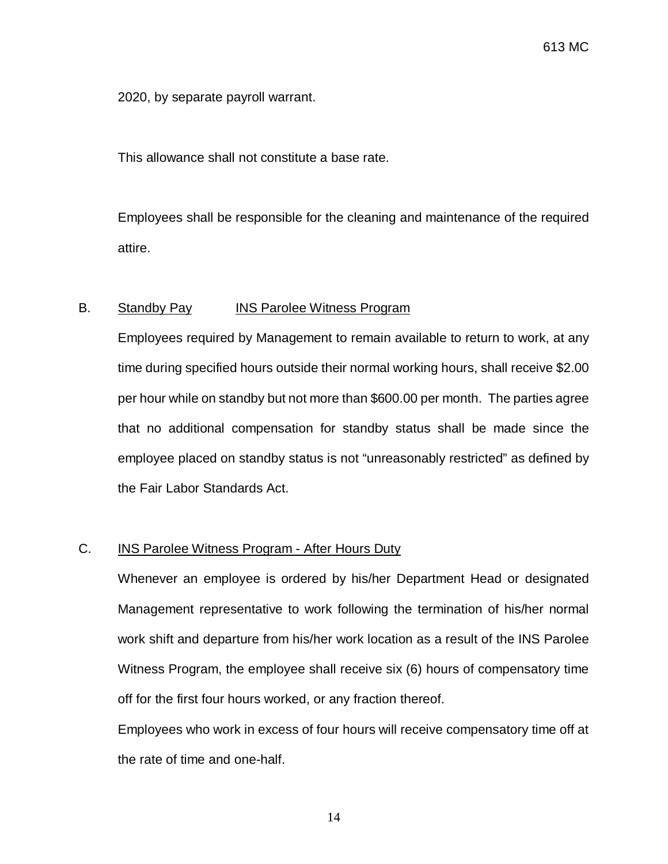2020, by separate payroll warrant.

This allowance shall not constitute a base rate.

Employees shall be responsible for the cleaning and maintenance of the required attire.

## B. Standby Pay INS Parolee Witness Program

Employees required by Management to remain available to return to work, at any time during specified hours outside their normal working hours, shall receive \$2.00 per hour while on standby but not more than \$600.00 per month. The parties agree that no additional compensation for standby status shall be made since the employee placed on standby status is not "unreasonably restricted" as defined by the Fair Labor Standards Act.

## C. **INS Parolee Witness Program - After Hours Duty**

Whenever an employee is ordered by his/her Department Head or designated Management representative to work following the termination of his/her normal work shift and departure from his/her work location as a result of the INS Parolee Witness Program, the employee shall receive six (6) hours of compensatory time off for the first four hours worked, or any fraction thereof.

Employees who work in excess of four hours will receive compensatory time off at the rate of time and one-half.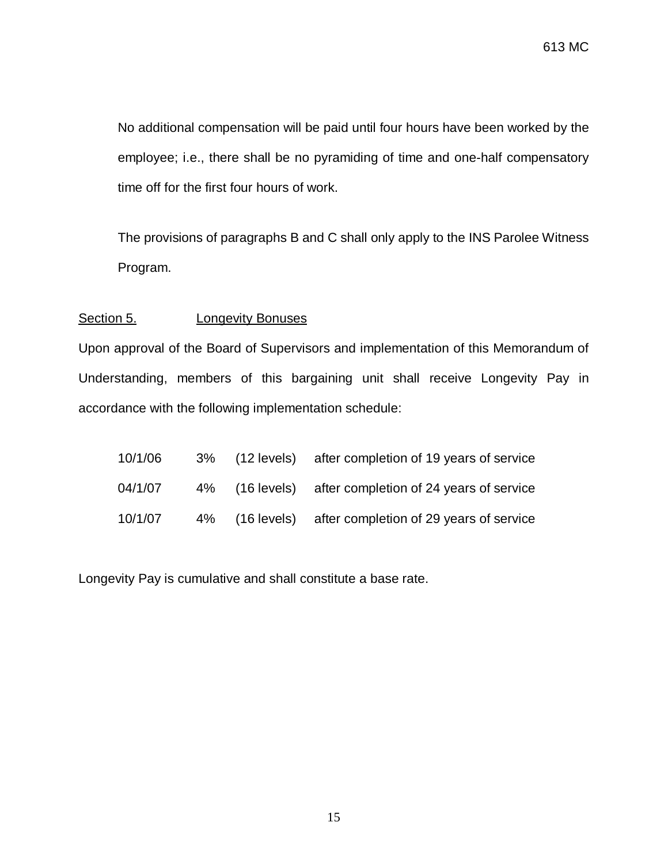No additional compensation will be paid until four hours have been worked by the employee; i.e., there shall be no pyramiding of time and one-half compensatory time off for the first four hours of work.

The provisions of paragraphs B and C shall only apply to the INS Parolee Witness Program.

## Section 5. **Longevity Bonuses**

Upon approval of the Board of Supervisors and implementation of this Memorandum of Understanding, members of this bargaining unit shall receive Longevity Pay in accordance with the following implementation schedule:

| 10/1/06 |  | 3% (12 levels) after completion of 19 years of service |
|---------|--|--------------------------------------------------------|
| 04/1/07 |  | 4% (16 levels) after completion of 24 years of service |
| 10/1/07 |  | 4% (16 levels) after completion of 29 years of service |

Longevity Pay is cumulative and shall constitute a base rate.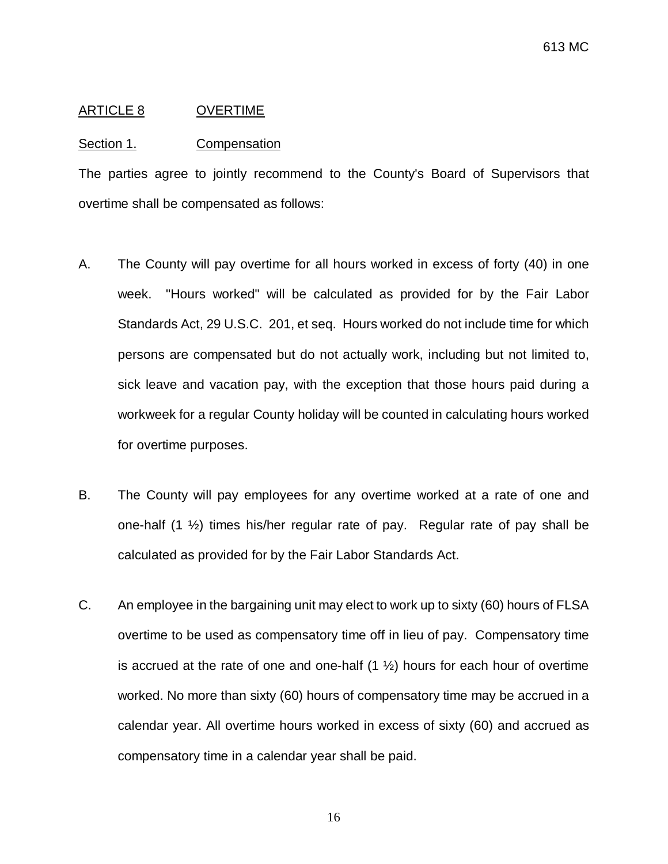#### <span id="page-17-0"></span>ARTICLE 8 OVERTIME

#### Section 1. Compensation

The parties agree to jointly recommend to the County's Board of Supervisors that overtime shall be compensated as follows:

- A. The County will pay overtime for all hours worked in excess of forty (40) in one week. "Hours worked" will be calculated as provided for by the Fair Labor Standards Act, 29 U.S.C. 201, et seq. Hours worked do not include time for which persons are compensated but do not actually work, including but not limited to, sick leave and vacation pay, with the exception that those hours paid during a workweek for a regular County holiday will be counted in calculating hours worked for overtime purposes.
- B. The County will pay employees for any overtime worked at a rate of one and one-half  $(1 \frac{1}{2})$  times his/her regular rate of pay. Regular rate of pay shall be calculated as provided for by the Fair Labor Standards Act.
- C. An employee in the bargaining unit may elect to work up to sixty (60) hours of FLSA overtime to be used as compensatory time off in lieu of pay. Compensatory time is accrued at the rate of one and one-half  $(1 \frac{1}{2})$  hours for each hour of overtime worked. No more than sixty (60) hours of compensatory time may be accrued in a calendar year. All overtime hours worked in excess of sixty (60) and accrued as compensatory time in a calendar year shall be paid.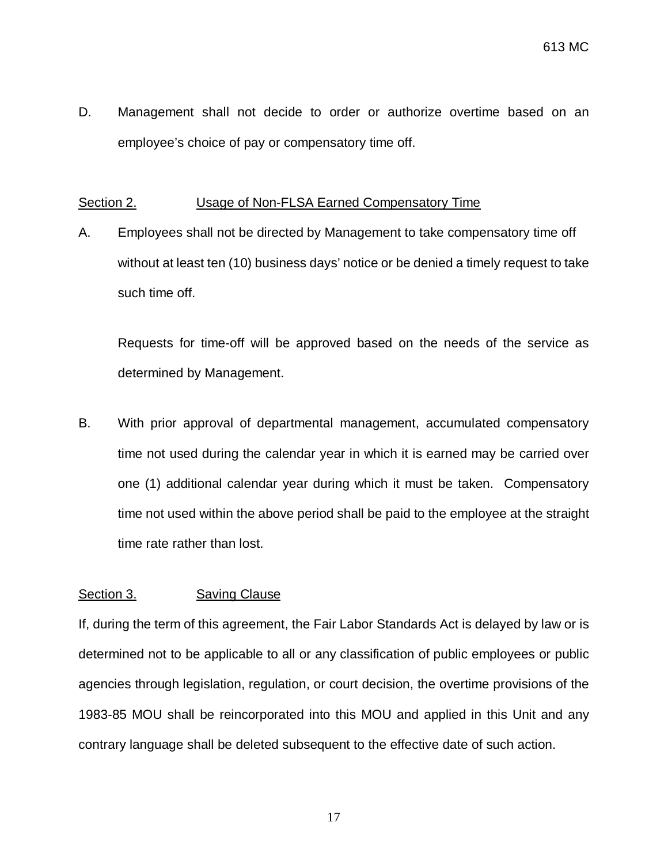D. Management shall not decide to order or authorize overtime based on an employee's choice of pay or compensatory time off.

## Section 2. Usage of Non-FLSA Earned Compensatory Time

A. Employees shall not be directed by Management to take compensatory time off without at least ten (10) business days' notice or be denied a timely request to take such time off.

Requests for time-off will be approved based on the needs of the service as determined by Management.

B. With prior approval of departmental management, accumulated compensatory time not used during the calendar year in which it is earned may be carried over one (1) additional calendar year during which it must be taken. Compensatory time not used within the above period shall be paid to the employee at the straight time rate rather than lost.

## Section 3. Saving Clause

If, during the term of this agreement, the Fair Labor Standards Act is delayed by law or is determined not to be applicable to all or any classification of public employees or public agencies through legislation, regulation, or court decision, the overtime provisions of the 1983-85 MOU shall be reincorporated into this MOU and applied in this Unit and any contrary language shall be deleted subsequent to the effective date of such action.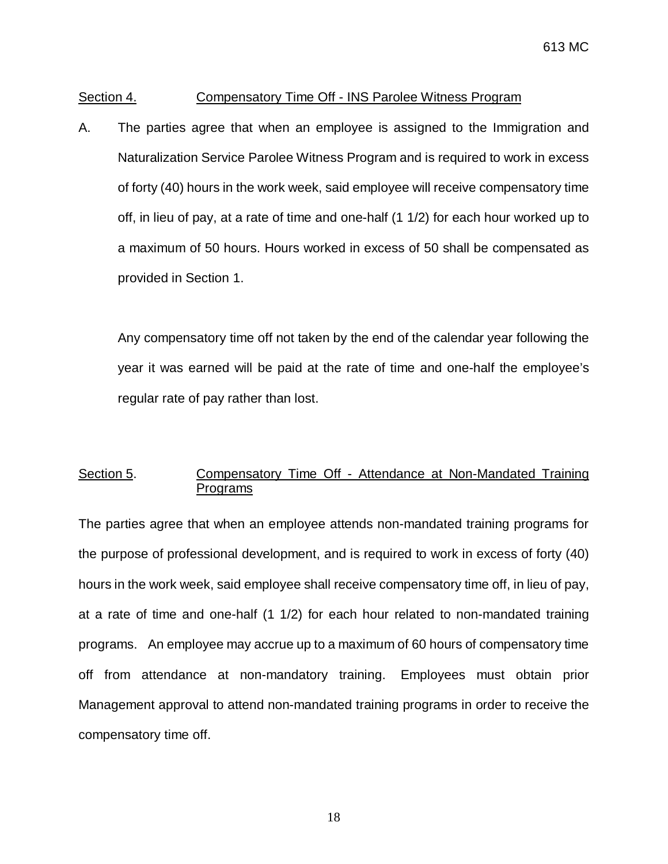### Section 4. Compensatory Time Off - INS Parolee Witness Program

A. The parties agree that when an employee is assigned to the Immigration and Naturalization Service Parolee Witness Program and is required to work in excess of forty (40) hours in the work week, said employee will receive compensatory time off, in lieu of pay, at a rate of time and one-half (1 1/2) for each hour worked up to a maximum of 50 hours. Hours worked in excess of 50 shall be compensated as provided in Section 1.

Any compensatory time off not taken by the end of the calendar year following the year it was earned will be paid at the rate of time and one-half the employee's regular rate of pay rather than lost.

## Section 5. Compensatory Time Off - Attendance at Non-Mandated Training Programs

The parties agree that when an employee attends non-mandated training programs for the purpose of professional development, and is required to work in excess of forty (40) hours in the work week, said employee shall receive compensatory time off, in lieu of pay, at a rate of time and one-half (1 1/2) for each hour related to non-mandated training programs. An employee may accrue up to a maximum of 60 hours of compensatory time off from attendance at non-mandatory training. Employees must obtain prior Management approval to attend non-mandated training programs in order to receive the compensatory time off.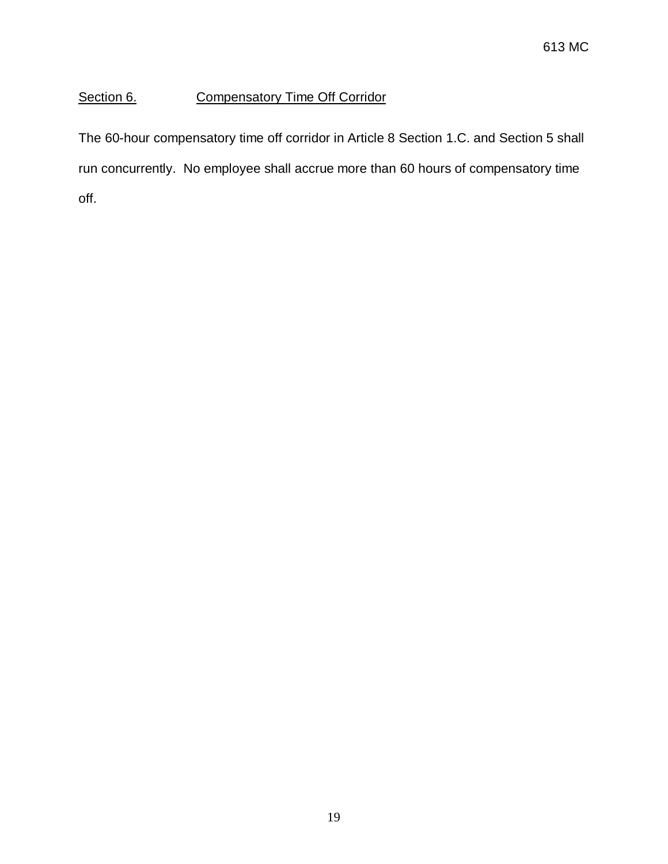# Section 6. Compensatory Time Off Corridor

The 60-hour compensatory time off corridor in Article 8 Section 1.C. and Section 5 shall run concurrently. No employee shall accrue more than 60 hours of compensatory time off.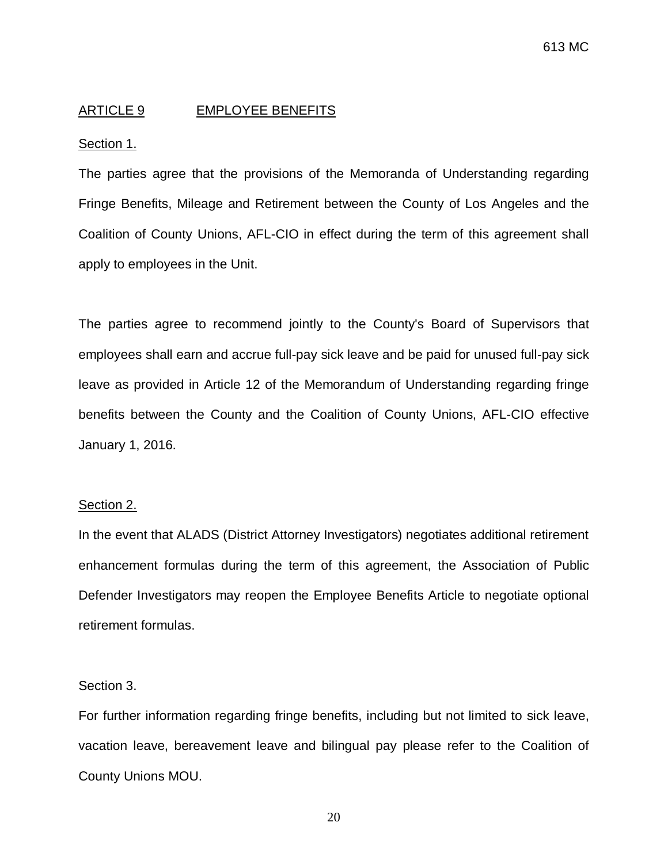## <span id="page-21-0"></span>ARTICLE 9 EMPLOYEE BENEFITS

#### Section 1.

The parties agree that the provisions of the Memoranda of Understanding regarding Fringe Benefits, Mileage and Retirement between the County of Los Angeles and the Coalition of County Unions, AFL-CIO in effect during the term of this agreement shall apply to employees in the Unit.

The parties agree to recommend jointly to the County's Board of Supervisors that employees shall earn and accrue full-pay sick leave and be paid for unused full-pay sick leave as provided in Article 12 of the Memorandum of Understanding regarding fringe benefits between the County and the Coalition of County Unions, AFL-CIO effective January 1, 2016.

#### Section 2.

In the event that ALADS (District Attorney Investigators) negotiates additional retirement enhancement formulas during the term of this agreement, the Association of Public Defender Investigators may reopen the Employee Benefits Article to negotiate optional retirement formulas.

## Section 3.

For further information regarding fringe benefits, including but not limited to sick leave, vacation leave, bereavement leave and bilingual pay please refer to the Coalition of County Unions MOU.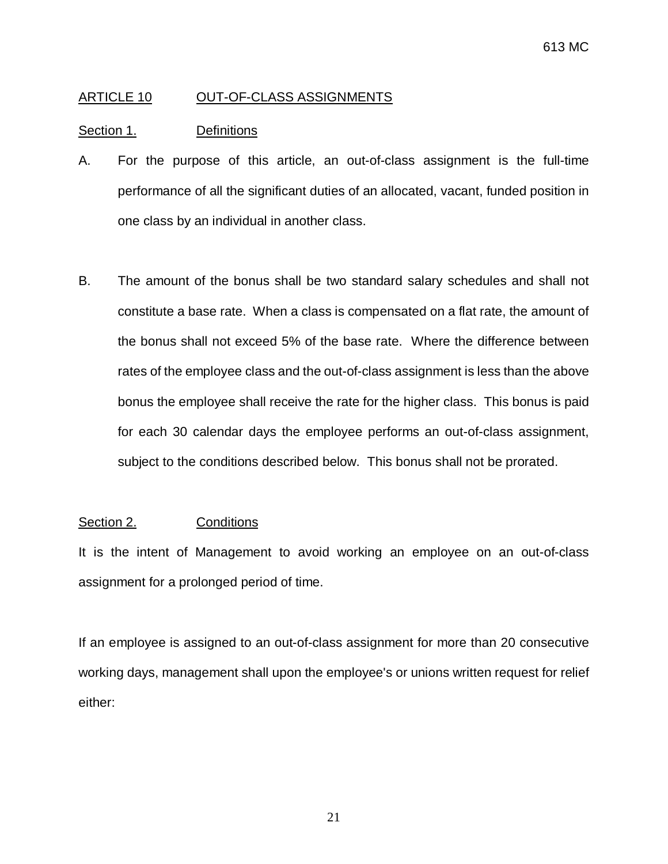## <span id="page-22-0"></span>ARTICLE 10 OUT-OF-CLASS ASSIGNMENTS

## Section 1. Definitions

- A. For the purpose of this article, an out-of-class assignment is the full-time performance of all the significant duties of an allocated, vacant, funded position in one class by an individual in another class.
- B. The amount of the bonus shall be two standard salary schedules and shall not constitute a base rate. When a class is compensated on a flat rate, the amount of the bonus shall not exceed 5% of the base rate. Where the difference between rates of the employee class and the out-of-class assignment is less than the above bonus the employee shall receive the rate for the higher class. This bonus is paid for each 30 calendar days the employee performs an out-of-class assignment, subject to the conditions described below. This bonus shall not be prorated.

## Section 2. Conditions

It is the intent of Management to avoid working an employee on an out-of-class assignment for a prolonged period of time.

If an employee is assigned to an out-of-class assignment for more than 20 consecutive working days, management shall upon the employee's or unions written request for relief either: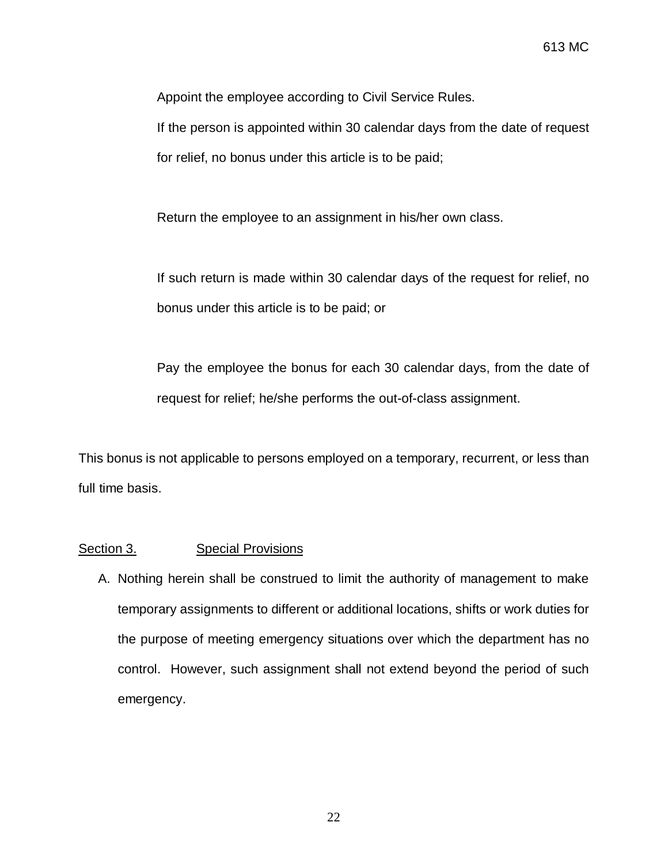Appoint the employee according to Civil Service Rules.

If the person is appointed within 30 calendar days from the date of request for relief, no bonus under this article is to be paid;

Return the employee to an assignment in his/her own class.

If such return is made within 30 calendar days of the request for relief, no bonus under this article is to be paid; or

Pay the employee the bonus for each 30 calendar days, from the date of request for relief; he/she performs the out-of-class assignment.

This bonus is not applicable to persons employed on a temporary, recurrent, or less than full time basis.

### Section 3. Special Provisions

A. Nothing herein shall be construed to limit the authority of management to make temporary assignments to different or additional locations, shifts or work duties for the purpose of meeting emergency situations over which the department has no control. However, such assignment shall not extend beyond the period of such emergency.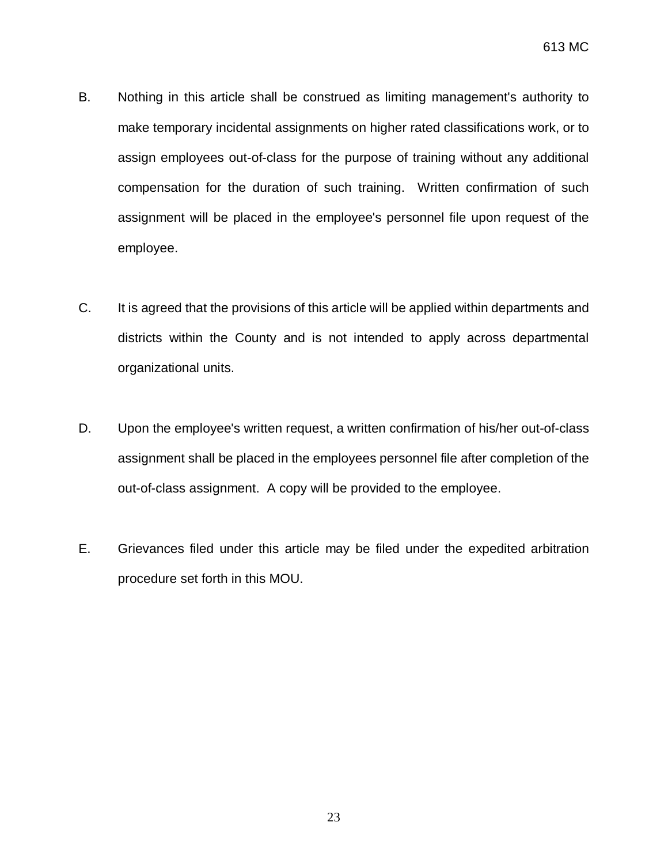- B. Nothing in this article shall be construed as limiting management's authority to make temporary incidental assignments on higher rated classifications work, or to assign employees out-of-class for the purpose of training without any additional compensation for the duration of such training. Written confirmation of such assignment will be placed in the employee's personnel file upon request of the employee.
- C. It is agreed that the provisions of this article will be applied within departments and districts within the County and is not intended to apply across departmental organizational units.
- D. Upon the employee's written request, a written confirmation of his/her out-of-class assignment shall be placed in the employees personnel file after completion of the out-of-class assignment. A copy will be provided to the employee.
- E. Grievances filed under this article may be filed under the expedited arbitration procedure set forth in this MOU.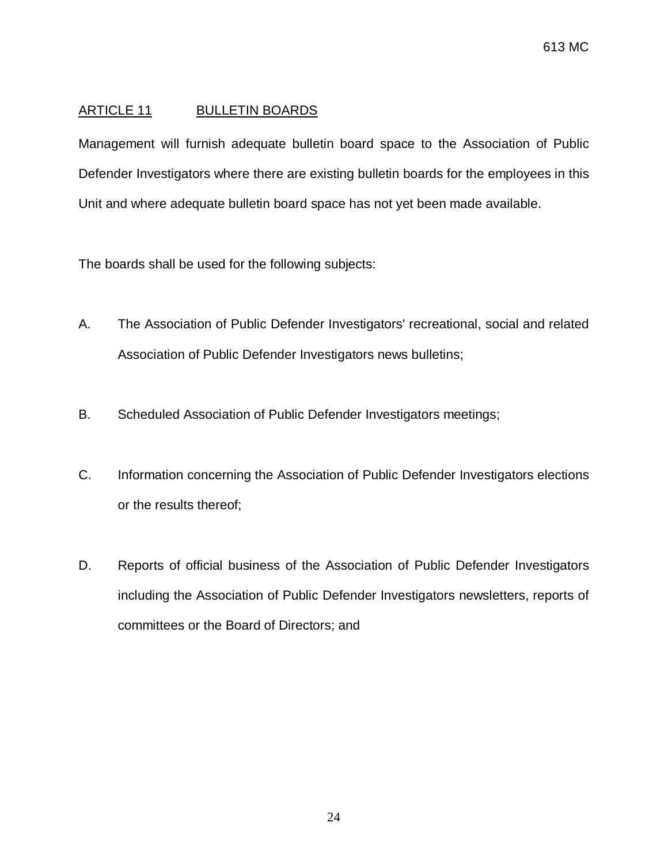## <span id="page-25-0"></span>ARTICLE 11 BULLETIN BOARDS

Management will furnish adequate bulletin board space to the Association of Public Defender Investigators where there are existing bulletin boards for the employees in this Unit and where adequate bulletin board space has not yet been made available.

The boards shall be used for the following subjects:

- A. The Association of Public Defender Investigators' recreational, social and related Association of Public Defender Investigators news bulletins;
- B. Scheduled Association of Public Defender Investigators meetings;
- C. Information concerning the Association of Public Defender Investigators elections or the results thereof;
- D. Reports of official business of the Association of Public Defender Investigators including the Association of Public Defender Investigators newsletters, reports of committees or the Board of Directors; and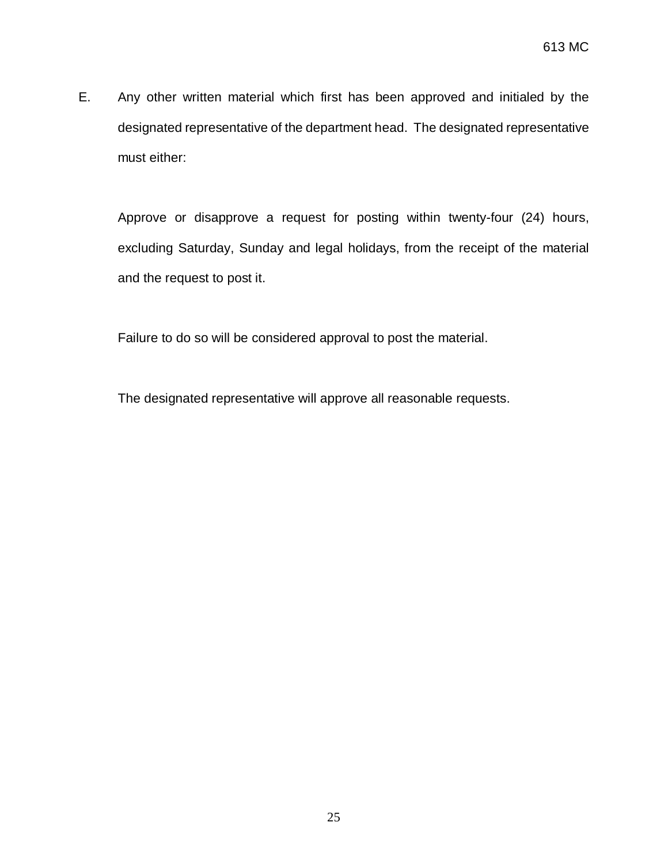E. Any other written material which first has been approved and initialed by the designated representative of the department head. The designated representative must either:

Approve or disapprove a request for posting within twenty-four (24) hours, excluding Saturday, Sunday and legal holidays, from the receipt of the material and the request to post it.

Failure to do so will be considered approval to post the material.

The designated representative will approve all reasonable requests.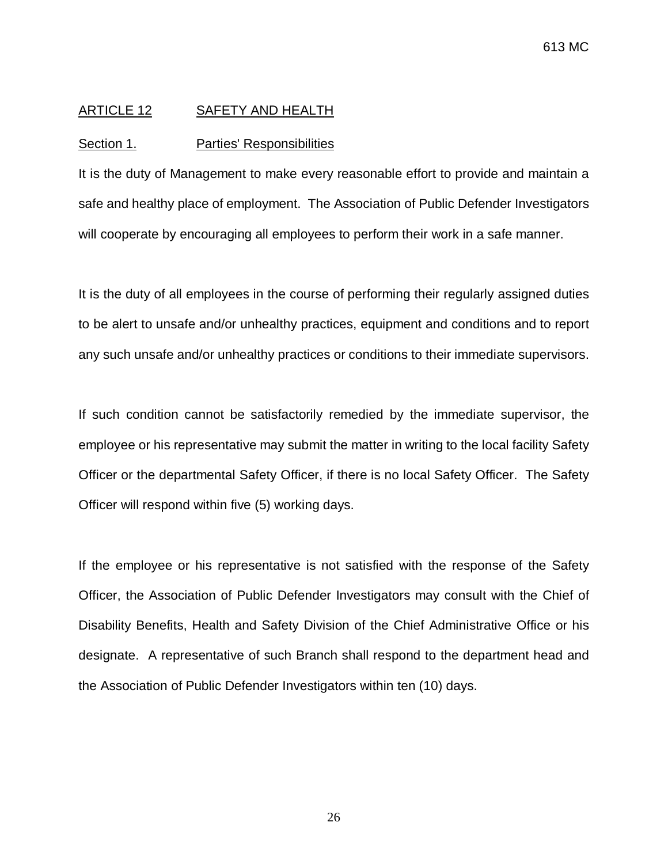### <span id="page-27-0"></span>ARTICLE 12 SAFETY AND HEALTH

#### Section 1. Parties' Responsibilities

It is the duty of Management to make every reasonable effort to provide and maintain a safe and healthy place of employment. The Association of Public Defender Investigators will cooperate by encouraging all employees to perform their work in a safe manner.

It is the duty of all employees in the course of performing their regularly assigned duties to be alert to unsafe and/or unhealthy practices, equipment and conditions and to report any such unsafe and/or unhealthy practices or conditions to their immediate supervisors.

If such condition cannot be satisfactorily remedied by the immediate supervisor, the employee or his representative may submit the matter in writing to the local facility Safety Officer or the departmental Safety Officer, if there is no local Safety Officer. The Safety Officer will respond within five (5) working days.

If the employee or his representative is not satisfied with the response of the Safety Officer, the Association of Public Defender Investigators may consult with the Chief of Disability Benefits, Health and Safety Division of the Chief Administrative Office or his designate. A representative of such Branch shall respond to the department head and the Association of Public Defender Investigators within ten (10) days.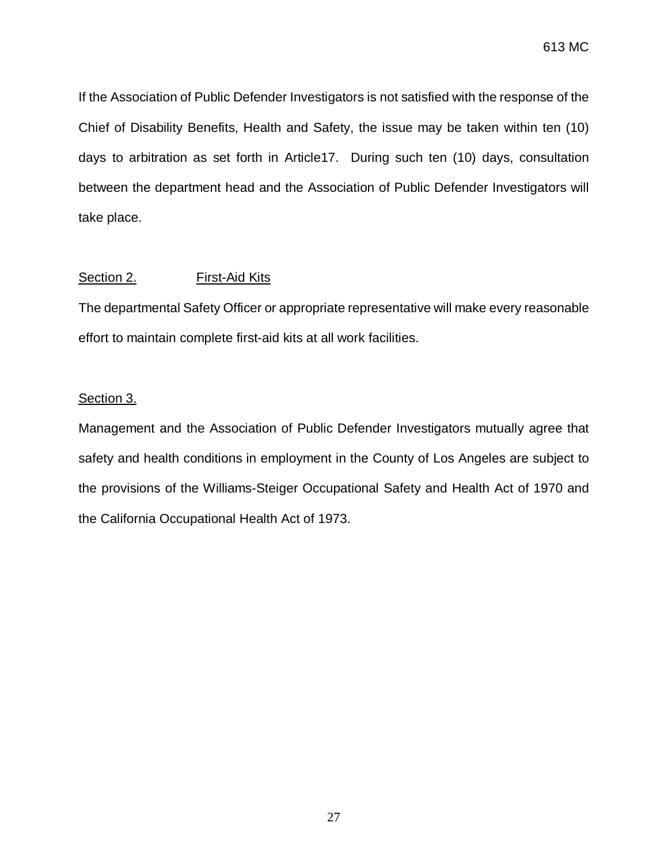613 MC

If the Association of Public Defender Investigators is not satisfied with the response of the Chief of Disability Benefits, Health and Safety, the issue may be taken within ten (10) days to arbitration as set forth in Article17. During such ten (10) days, consultation between the department head and the Association of Public Defender Investigators will take place.

## Section 2. First-Aid Kits

The departmental Safety Officer or appropriate representative will make every reasonable effort to maintain complete first-aid kits at all work facilities.

### Section 3.

Management and the Association of Public Defender Investigators mutually agree that safety and health conditions in employment in the County of Los Angeles are subject to the provisions of the Williams-Steiger Occupational Safety and Health Act of 1970 and the California Occupational Health Act of 1973.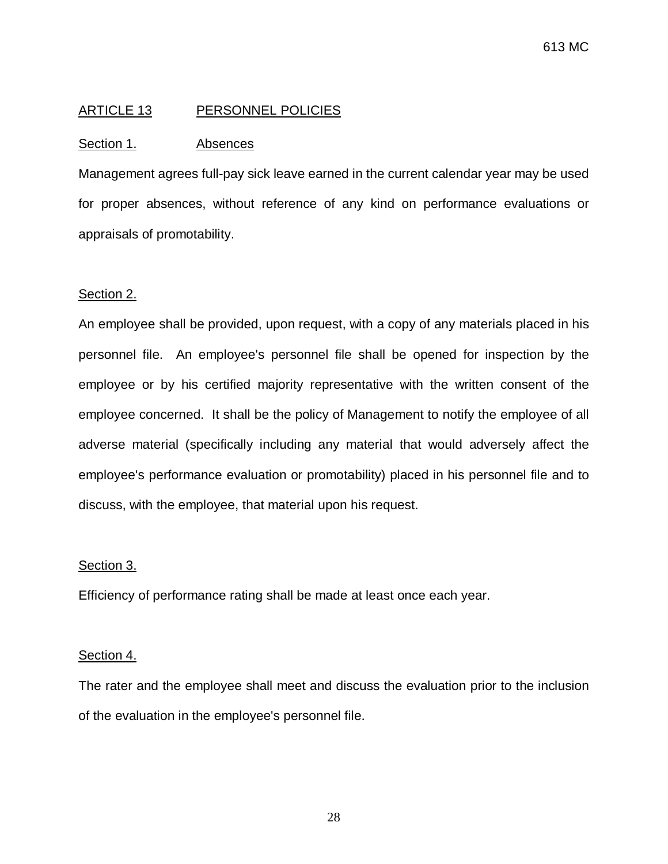# <span id="page-29-0"></span>ARTICLE 13 PERSONNEL POLICIES

### Section 1. Absences

Management agrees full-pay sick leave earned in the current calendar year may be used for proper absences, without reference of any kind on performance evaluations or appraisals of promotability.

#### Section 2.

An employee shall be provided, upon request, with a copy of any materials placed in his personnel file. An employee's personnel file shall be opened for inspection by the employee or by his certified majority representative with the written consent of the employee concerned. It shall be the policy of Management to notify the employee of all adverse material (specifically including any material that would adversely affect the employee's performance evaluation or promotability) placed in his personnel file and to discuss, with the employee, that material upon his request.

### Section 3.

Efficiency of performance rating shall be made at least once each year.

### Section 4.

The rater and the employee shall meet and discuss the evaluation prior to the inclusion of the evaluation in the employee's personnel file.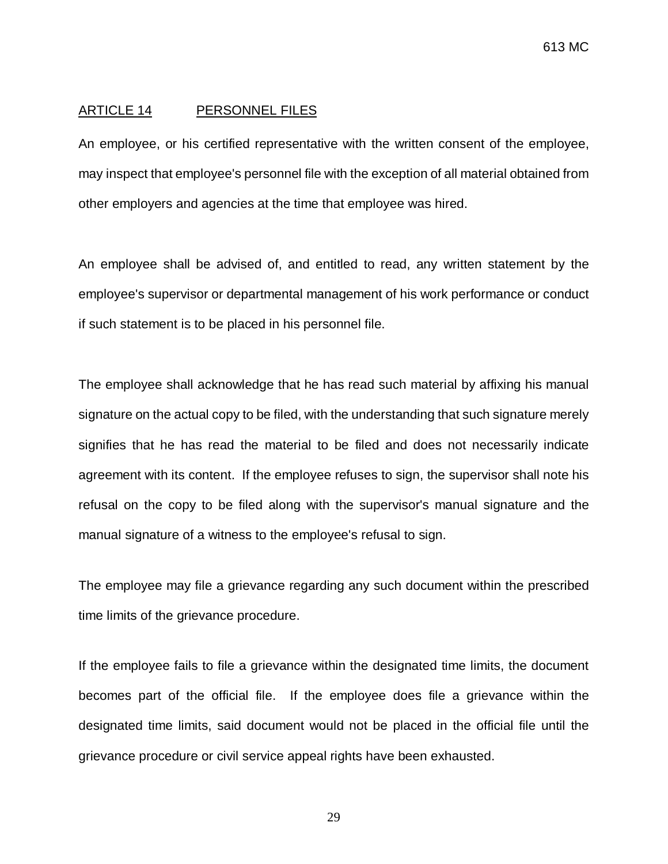#### <span id="page-30-0"></span>ARTICLE 14 PERSONNEL FILES

An employee, or his certified representative with the written consent of the employee, may inspect that employee's personnel file with the exception of all material obtained from other employers and agencies at the time that employee was hired.

An employee shall be advised of, and entitled to read, any written statement by the employee's supervisor or departmental management of his work performance or conduct if such statement is to be placed in his personnel file.

The employee shall acknowledge that he has read such material by affixing his manual signature on the actual copy to be filed, with the understanding that such signature merely signifies that he has read the material to be filed and does not necessarily indicate agreement with its content. If the employee refuses to sign, the supervisor shall note his refusal on the copy to be filed along with the supervisor's manual signature and the manual signature of a witness to the employee's refusal to sign.

The employee may file a grievance regarding any such document within the prescribed time limits of the grievance procedure.

If the employee fails to file a grievance within the designated time limits, the document becomes part of the official file. If the employee does file a grievance within the designated time limits, said document would not be placed in the official file until the grievance procedure or civil service appeal rights have been exhausted.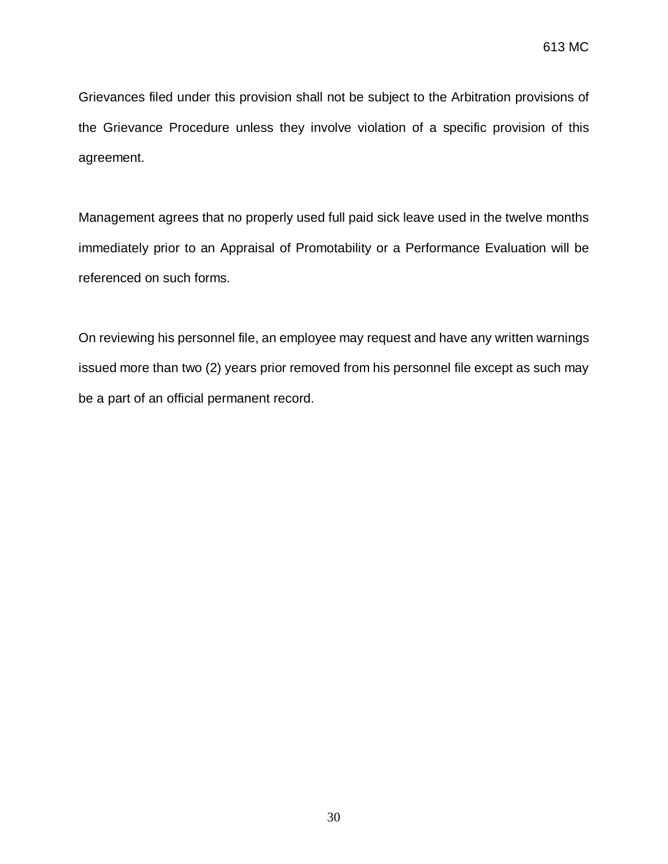Grievances filed under this provision shall not be subject to the Arbitration provisions of the Grievance Procedure unless they involve violation of a specific provision of this agreement.

Management agrees that no properly used full paid sick leave used in the twelve months immediately prior to an Appraisal of Promotability or a Performance Evaluation will be referenced on such forms.

On reviewing his personnel file, an employee may request and have any written warnings issued more than two (2) years prior removed from his personnel file except as such may be a part of an official permanent record.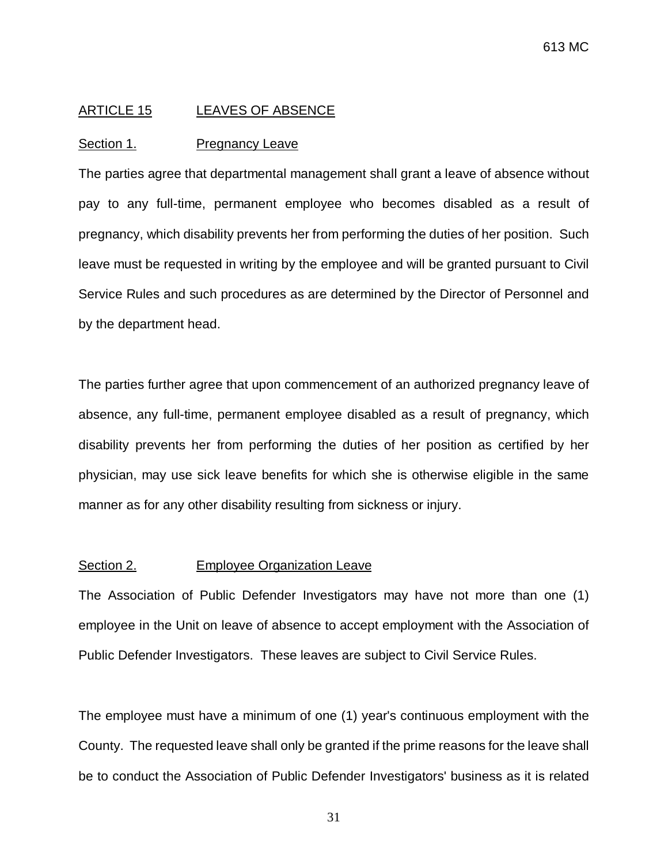#### <span id="page-32-0"></span>ARTICLE 15 LEAVES OF ABSENCE

#### Section 1. Pregnancy Leave

The parties agree that departmental management shall grant a leave of absence without pay to any full-time, permanent employee who becomes disabled as a result of pregnancy, which disability prevents her from performing the duties of her position. Such leave must be requested in writing by the employee and will be granted pursuant to Civil Service Rules and such procedures as are determined by the Director of Personnel and by the department head.

The parties further agree that upon commencement of an authorized pregnancy leave of absence, any full-time, permanent employee disabled as a result of pregnancy, which disability prevents her from performing the duties of her position as certified by her physician, may use sick leave benefits for which she is otherwise eligible in the same manner as for any other disability resulting from sickness or injury.

#### Section 2. Employee Organization Leave

The Association of Public Defender Investigators may have not more than one (1) employee in the Unit on leave of absence to accept employment with the Association of Public Defender Investigators. These leaves are subject to Civil Service Rules.

The employee must have a minimum of one (1) year's continuous employment with the County. The requested leave shall only be granted if the prime reasons for the leave shall be to conduct the Association of Public Defender Investigators' business as it is related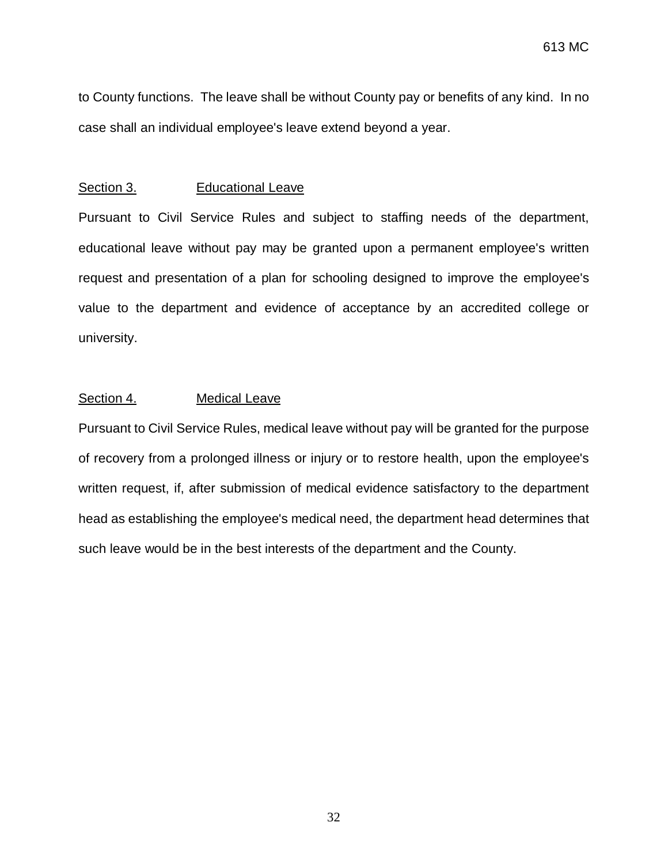to County functions. The leave shall be without County pay or benefits of any kind. In no case shall an individual employee's leave extend beyond a year.

#### Section 3. Educational Leave

Pursuant to Civil Service Rules and subject to staffing needs of the department, educational leave without pay may be granted upon a permanent employee's written request and presentation of a plan for schooling designed to improve the employee's value to the department and evidence of acceptance by an accredited college or university.

### Section 4. Medical Leave

Pursuant to Civil Service Rules, medical leave without pay will be granted for the purpose of recovery from a prolonged illness or injury or to restore health, upon the employee's written request, if, after submission of medical evidence satisfactory to the department head as establishing the employee's medical need, the department head determines that such leave would be in the best interests of the department and the County.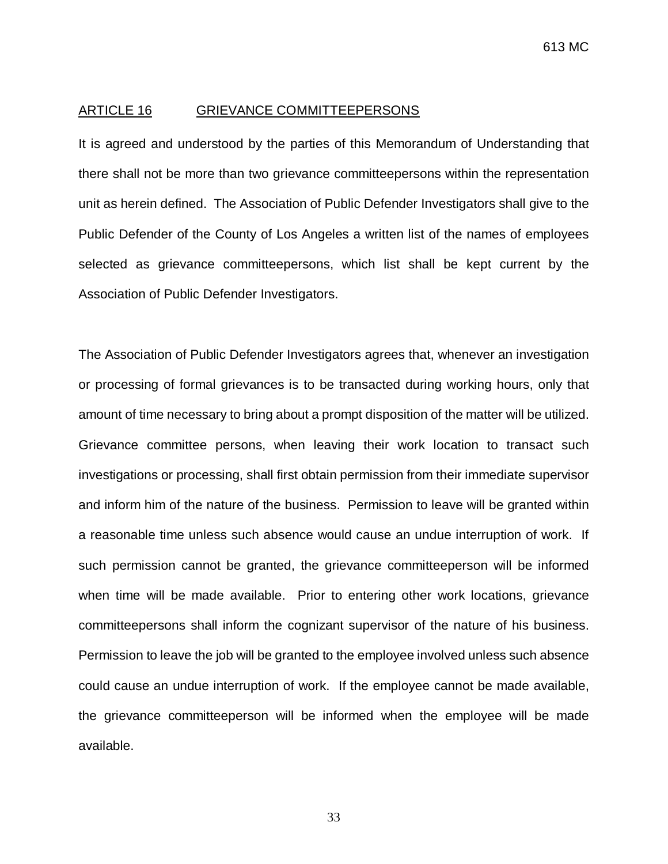#### <span id="page-34-0"></span>ARTICLE 16 GRIEVANCE COMMITTEEPERSONS

It is agreed and understood by the parties of this Memorandum of Understanding that there shall not be more than two grievance committeepersons within the representation unit as herein defined. The Association of Public Defender Investigators shall give to the Public Defender of the County of Los Angeles a written list of the names of employees selected as grievance committeepersons, which list shall be kept current by the Association of Public Defender Investigators.

The Association of Public Defender Investigators agrees that, whenever an investigation or processing of formal grievances is to be transacted during working hours, only that amount of time necessary to bring about a prompt disposition of the matter will be utilized. Grievance committee persons, when leaving their work location to transact such investigations or processing, shall first obtain permission from their immediate supervisor and inform him of the nature of the business. Permission to leave will be granted within a reasonable time unless such absence would cause an undue interruption of work. If such permission cannot be granted, the grievance committeeperson will be informed when time will be made available. Prior to entering other work locations, grievance committeepersons shall inform the cognizant supervisor of the nature of his business. Permission to leave the job will be granted to the employee involved unless such absence could cause an undue interruption of work. If the employee cannot be made available, the grievance committeeperson will be informed when the employee will be made available.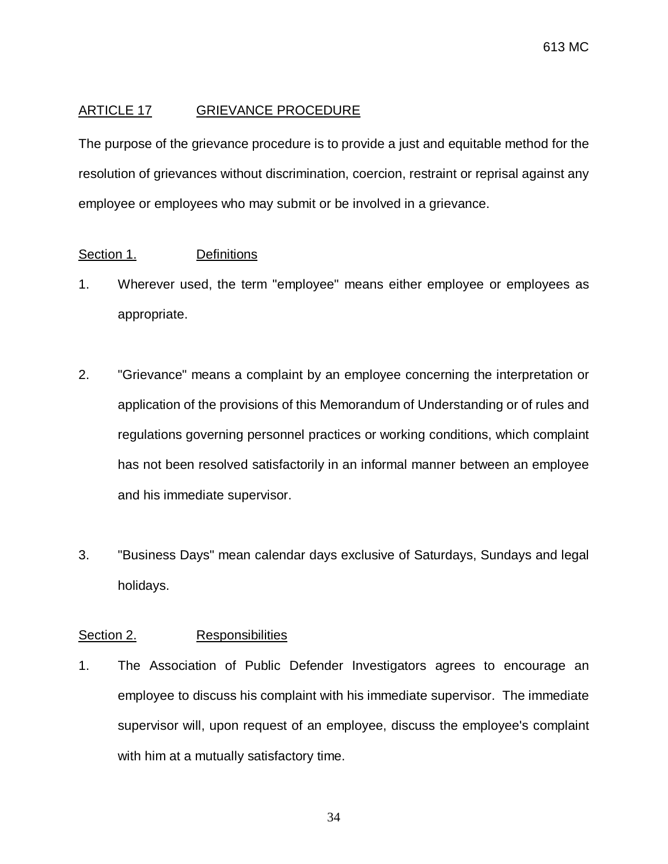# <span id="page-35-0"></span>ARTICLE 17 GRIEVANCE PROCEDURE

The purpose of the grievance procedure is to provide a just and equitable method for the resolution of grievances without discrimination, coercion, restraint or reprisal against any employee or employees who may submit or be involved in a grievance.

## Section 1. Definitions

- 1. Wherever used, the term "employee" means either employee or employees as appropriate.
- 2. "Grievance" means a complaint by an employee concerning the interpretation or application of the provisions of this Memorandum of Understanding or of rules and regulations governing personnel practices or working conditions, which complaint has not been resolved satisfactorily in an informal manner between an employee and his immediate supervisor.
- 3. "Business Days" mean calendar days exclusive of Saturdays, Sundays and legal holidays.

## Section 2. Responsibilities

1. The Association of Public Defender Investigators agrees to encourage an employee to discuss his complaint with his immediate supervisor. The immediate supervisor will, upon request of an employee, discuss the employee's complaint with him at a mutually satisfactory time.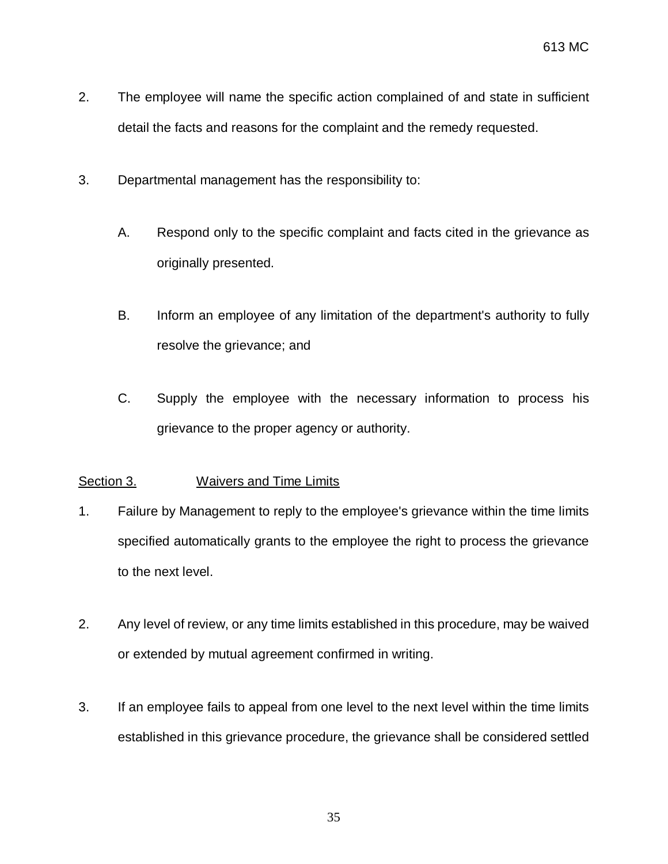- 2. The employee will name the specific action complained of and state in sufficient detail the facts and reasons for the complaint and the remedy requested.
- 3. Departmental management has the responsibility to:
	- A. Respond only to the specific complaint and facts cited in the grievance as originally presented.
	- B. Inform an employee of any limitation of the department's authority to fully resolve the grievance; and
	- C. Supply the employee with the necessary information to process his grievance to the proper agency or authority.

# Section 3. Waivers and Time Limits

- 1. Failure by Management to reply to the employee's grievance within the time limits specified automatically grants to the employee the right to process the grievance to the next level.
- 2. Any level of review, or any time limits established in this procedure, may be waived or extended by mutual agreement confirmed in writing.
- 3. If an employee fails to appeal from one level to the next level within the time limits established in this grievance procedure, the grievance shall be considered settled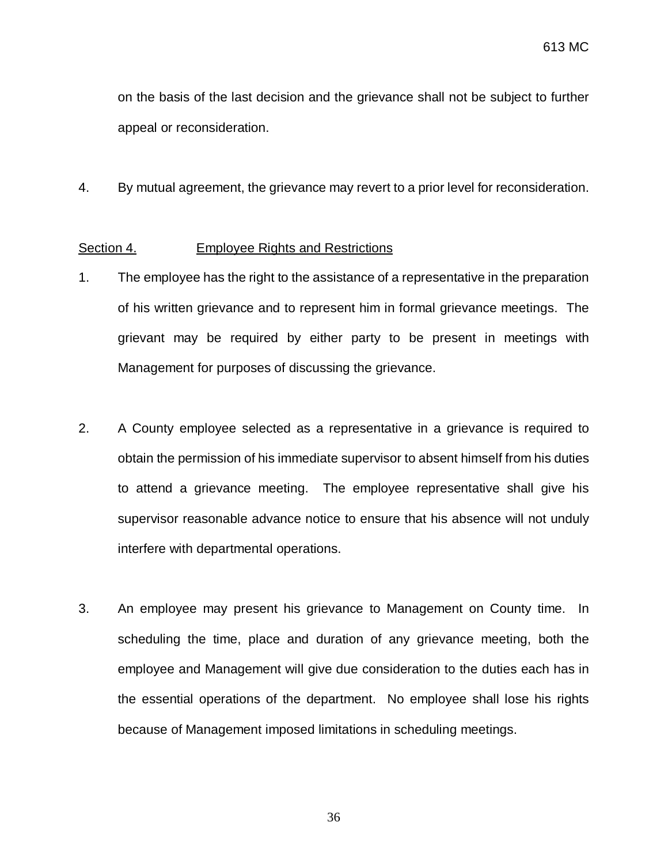on the basis of the last decision and the grievance shall not be subject to further appeal or reconsideration.

4. By mutual agreement, the grievance may revert to a prior level for reconsideration.

#### Section 4. Employee Rights and Restrictions

- 1. The employee has the right to the assistance of a representative in the preparation of his written grievance and to represent him in formal grievance meetings. The grievant may be required by either party to be present in meetings with Management for purposes of discussing the grievance.
- 2. A County employee selected as a representative in a grievance is required to obtain the permission of his immediate supervisor to absent himself from his duties to attend a grievance meeting. The employee representative shall give his supervisor reasonable advance notice to ensure that his absence will not unduly interfere with departmental operations.
- 3. An employee may present his grievance to Management on County time. In scheduling the time, place and duration of any grievance meeting, both the employee and Management will give due consideration to the duties each has in the essential operations of the department. No employee shall lose his rights because of Management imposed limitations in scheduling meetings.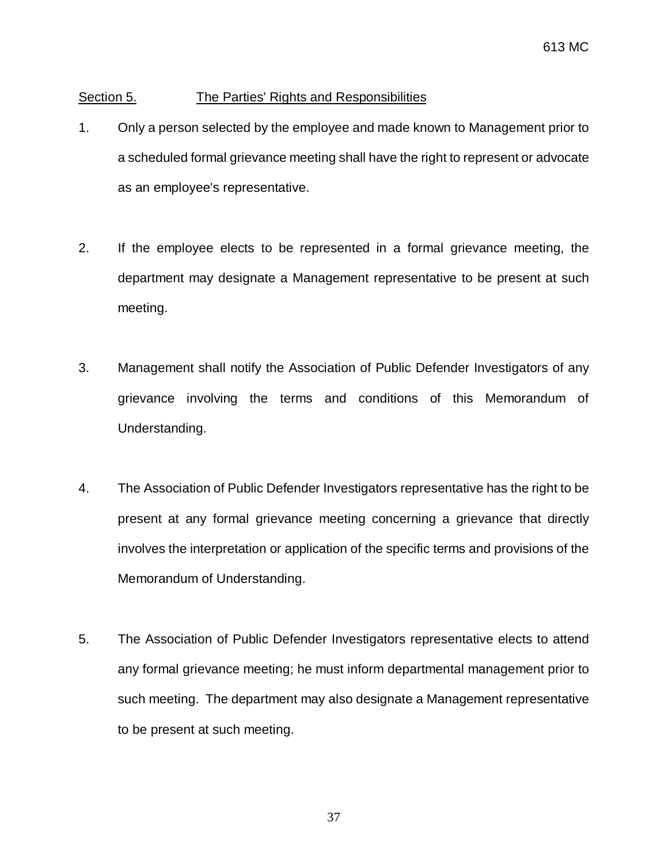## Section 5. The Parties' Rights and Responsibilities

- 1. Only a person selected by the employee and made known to Management prior to a scheduled formal grievance meeting shall have the right to represent or advocate as an employee's representative.
- 2. If the employee elects to be represented in a formal grievance meeting, the department may designate a Management representative to be present at such meeting.
- 3. Management shall notify the Association of Public Defender Investigators of any grievance involving the terms and conditions of this Memorandum of Understanding.
- 4. The Association of Public Defender Investigators representative has the right to be present at any formal grievance meeting concerning a grievance that directly involves the interpretation or application of the specific terms and provisions of the Memorandum of Understanding.
- 5. The Association of Public Defender Investigators representative elects to attend any formal grievance meeting; he must inform departmental management prior to such meeting. The department may also designate a Management representative to be present at such meeting.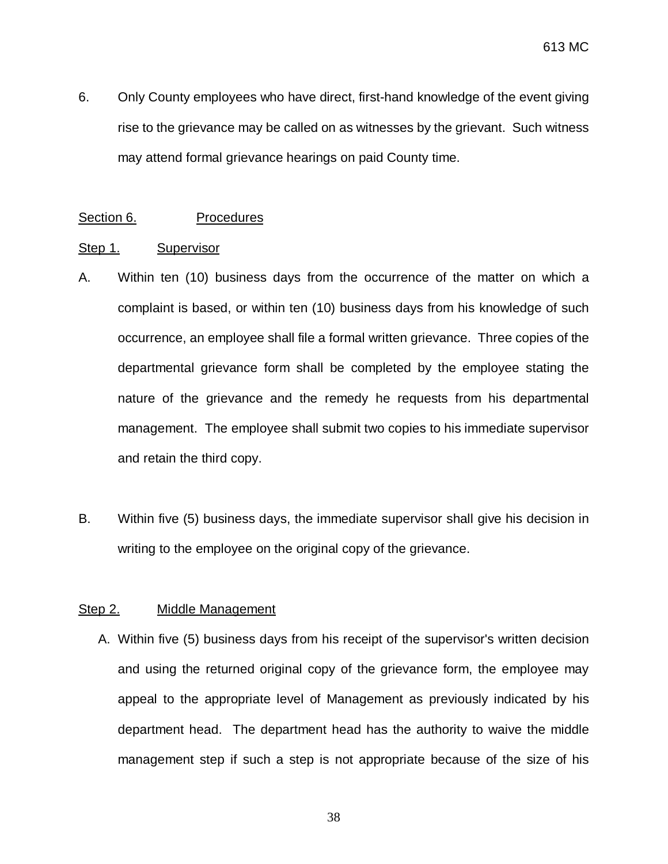6. Only County employees who have direct, first-hand knowledge of the event giving rise to the grievance may be called on as witnesses by the grievant. Such witness may attend formal grievance hearings on paid County time.

#### Section 6. Procedures

#### Step 1. Supervisor

- A. Within ten (10) business days from the occurrence of the matter on which a complaint is based, or within ten (10) business days from his knowledge of such occurrence, an employee shall file a formal written grievance. Three copies of the departmental grievance form shall be completed by the employee stating the nature of the grievance and the remedy he requests from his departmental management. The employee shall submit two copies to his immediate supervisor and retain the third copy.
- B. Within five (5) business days, the immediate supervisor shall give his decision in writing to the employee on the original copy of the grievance.

#### Step 2. Middle Management

A. Within five (5) business days from his receipt of the supervisor's written decision and using the returned original copy of the grievance form, the employee may appeal to the appropriate level of Management as previously indicated by his department head. The department head has the authority to waive the middle management step if such a step is not appropriate because of the size of his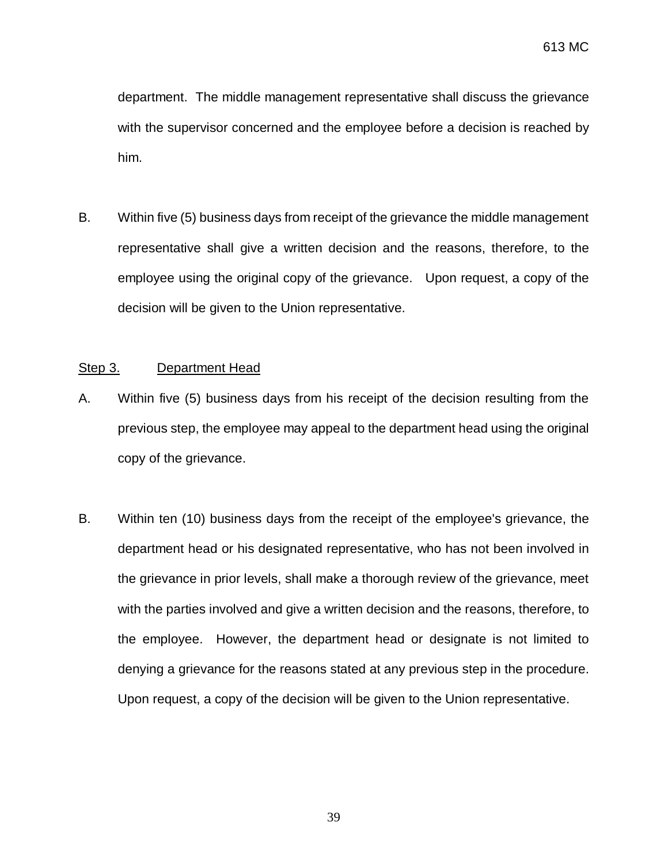department. The middle management representative shall discuss the grievance with the supervisor concerned and the employee before a decision is reached by him.

B. Within five (5) business days from receipt of the grievance the middle management representative shall give a written decision and the reasons, therefore, to the employee using the original copy of the grievance. Upon request, a copy of the decision will be given to the Union representative.

#### Step 3. Department Head

- A. Within five (5) business days from his receipt of the decision resulting from the previous step, the employee may appeal to the department head using the original copy of the grievance.
- B. Within ten (10) business days from the receipt of the employee's grievance, the department head or his designated representative, who has not been involved in the grievance in prior levels, shall make a thorough review of the grievance, meet with the parties involved and give a written decision and the reasons, therefore, to the employee. However, the department head or designate is not limited to denying a grievance for the reasons stated at any previous step in the procedure. Upon request, a copy of the decision will be given to the Union representative.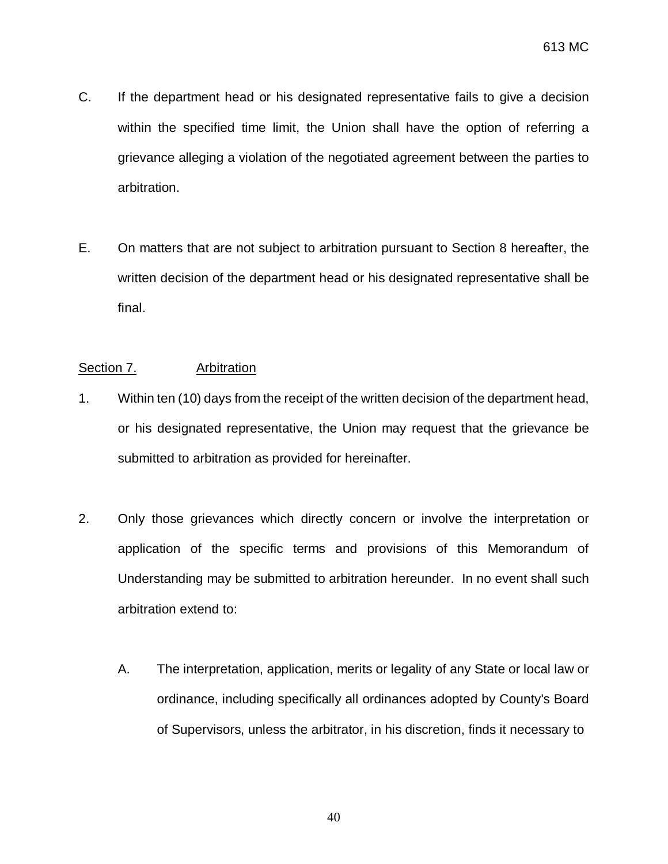- C. If the department head or his designated representative fails to give a decision within the specified time limit, the Union shall have the option of referring a grievance alleging a violation of the negotiated agreement between the parties to arbitration.
- E. On matters that are not subject to arbitration pursuant to Section 8 hereafter, the written decision of the department head or his designated representative shall be final.

## Section 7. Arbitration

- 1. Within ten (10) days from the receipt of the written decision of the department head, or his designated representative, the Union may request that the grievance be submitted to arbitration as provided for hereinafter.
- 2. Only those grievances which directly concern or involve the interpretation or application of the specific terms and provisions of this Memorandum of Understanding may be submitted to arbitration hereunder. In no event shall such arbitration extend to:
	- A. The interpretation, application, merits or legality of any State or local law or ordinance, including specifically all ordinances adopted by County's Board of Supervisors, unless the arbitrator, in his discretion, finds it necessary to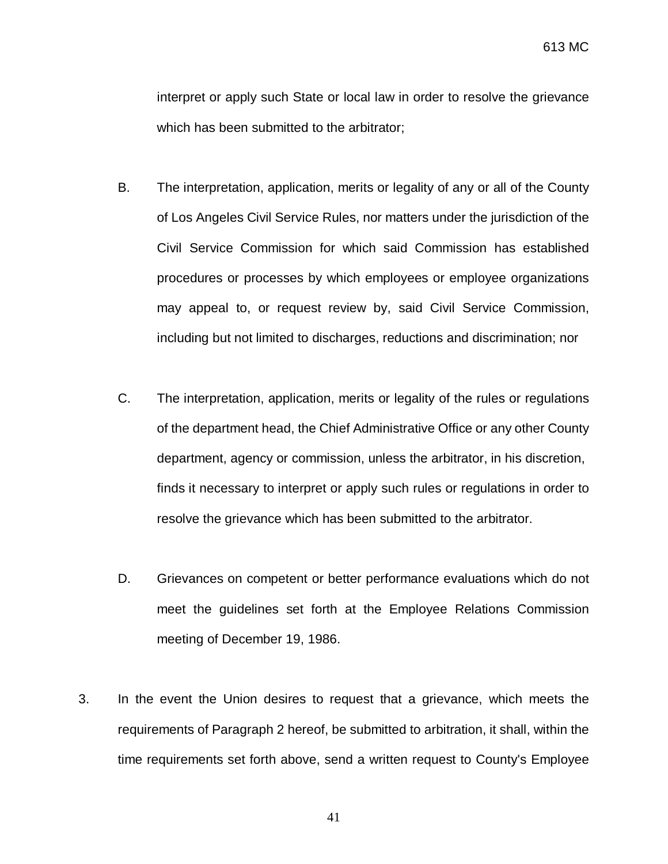interpret or apply such State or local law in order to resolve the grievance which has been submitted to the arbitrator;

- B. The interpretation, application, merits or legality of any or all of the County of Los Angeles Civil Service Rules, nor matters under the jurisdiction of the Civil Service Commission for which said Commission has established procedures or processes by which employees or employee organizations may appeal to, or request review by, said Civil Service Commission, including but not limited to discharges, reductions and discrimination; nor
- C. The interpretation, application, merits or legality of the rules or regulations of the department head, the Chief Administrative Office or any other County department, agency or commission, unless the arbitrator, in his discretion, finds it necessary to interpret or apply such rules or regulations in order to resolve the grievance which has been submitted to the arbitrator.
- D. Grievances on competent or better performance evaluations which do not meet the guidelines set forth at the Employee Relations Commission meeting of December 19, 1986.
- 3. In the event the Union desires to request that a grievance, which meets the requirements of Paragraph 2 hereof, be submitted to arbitration, it shall, within the time requirements set forth above, send a written request to County's Employee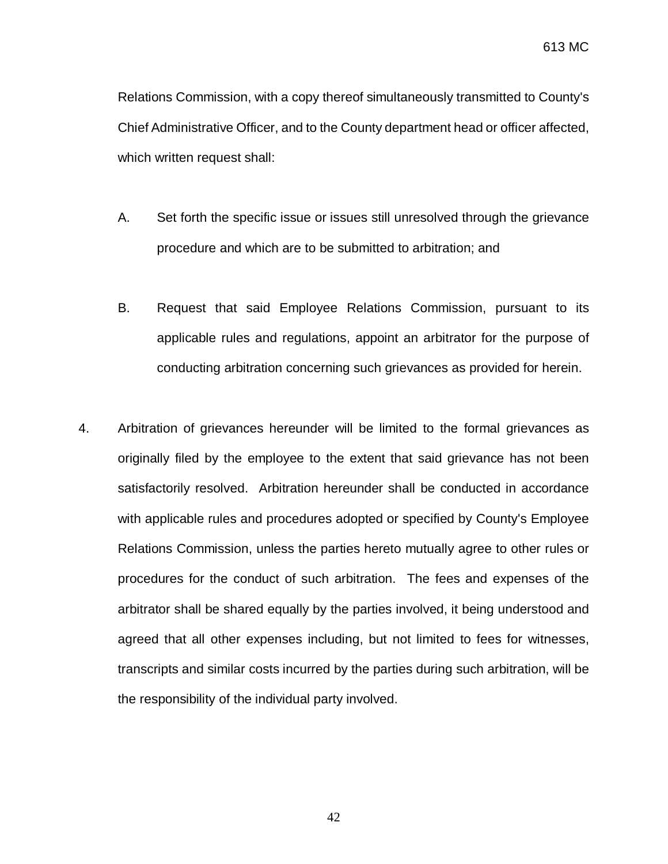Relations Commission, with a copy thereof simultaneously transmitted to County's Chief Administrative Officer, and to the County department head or officer affected, which written request shall:

- A. Set forth the specific issue or issues still unresolved through the grievance procedure and which are to be submitted to arbitration; and
- B. Request that said Employee Relations Commission, pursuant to its applicable rules and regulations, appoint an arbitrator for the purpose of conducting arbitration concerning such grievances as provided for herein.
- 4. Arbitration of grievances hereunder will be limited to the formal grievances as originally filed by the employee to the extent that said grievance has not been satisfactorily resolved. Arbitration hereunder shall be conducted in accordance with applicable rules and procedures adopted or specified by County's Employee Relations Commission, unless the parties hereto mutually agree to other rules or procedures for the conduct of such arbitration. The fees and expenses of the arbitrator shall be shared equally by the parties involved, it being understood and agreed that all other expenses including, but not limited to fees for witnesses, transcripts and similar costs incurred by the parties during such arbitration, will be the responsibility of the individual party involved.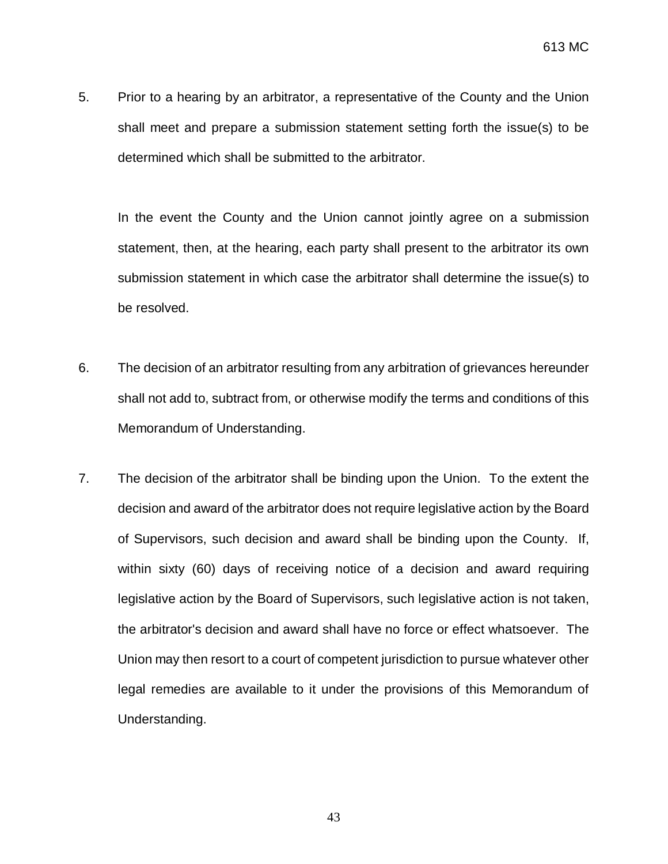5. Prior to a hearing by an arbitrator, a representative of the County and the Union shall meet and prepare a submission statement setting forth the issue(s) to be determined which shall be submitted to the arbitrator.

 In the event the County and the Union cannot jointly agree on a submission statement, then, at the hearing, each party shall present to the arbitrator its own submission statement in which case the arbitrator shall determine the issue(s) to be resolved.

- 6. The decision of an arbitrator resulting from any arbitration of grievances hereunder shall not add to, subtract from, or otherwise modify the terms and conditions of this Memorandum of Understanding.
- 7. The decision of the arbitrator shall be binding upon the Union. To the extent the decision and award of the arbitrator does not require legislative action by the Board of Supervisors, such decision and award shall be binding upon the County. If, within sixty (60) days of receiving notice of a decision and award requiring legislative action by the Board of Supervisors, such legislative action is not taken, the arbitrator's decision and award shall have no force or effect whatsoever. The Union may then resort to a court of competent jurisdiction to pursue whatever other legal remedies are available to it under the provisions of this Memorandum of Understanding.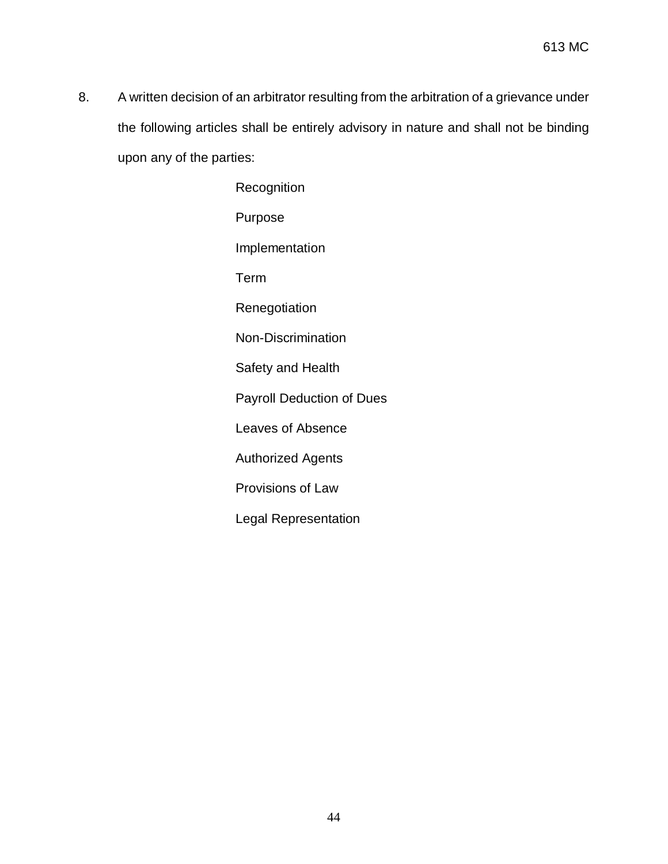8. A written decision of an arbitrator resulting from the arbitration of a grievance under the following articles shall be entirely advisory in nature and shall not be binding upon any of the parties:

> **Recognition** Purpose Implementation Term **Renegotiation** Non-Discrimination Safety and Health Payroll Deduction of Dues Leaves of Absence Authorized Agents Provisions of Law Legal Representation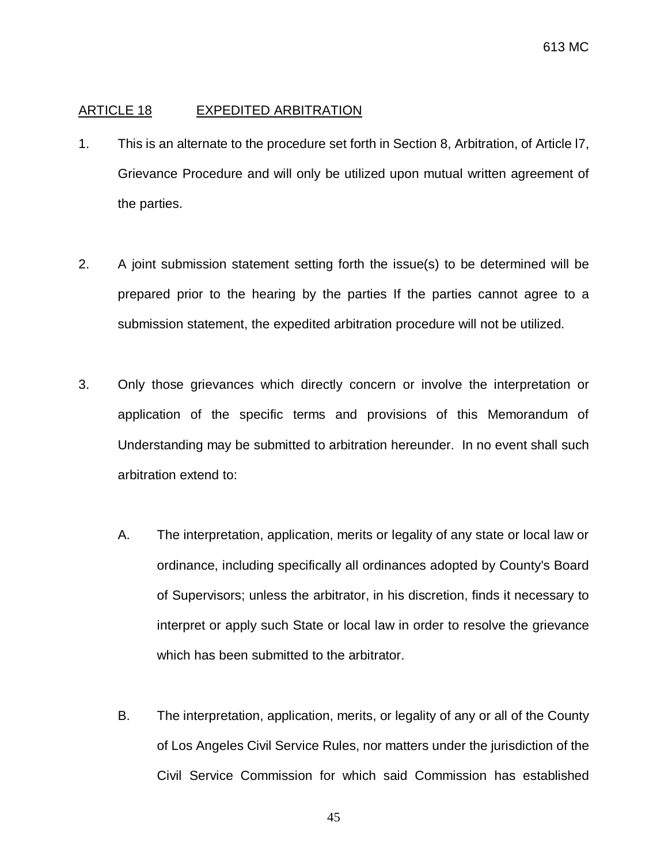#### ARTICLE 18 EXPEDITED ARBITRATION

- 1. This is an alternate to the procedure set forth in Section 8, Arbitration, of Article l7, Grievance Procedure and will only be utilized upon mutual written agreement of the parties.
- 2. A joint submission statement setting forth the issue(s) to be determined will be prepared prior to the hearing by the parties If the parties cannot agree to a submission statement, the expedited arbitration procedure will not be utilized.
- 3. Only those grievances which directly concern or involve the interpretation or application of the specific terms and provisions of this Memorandum of Understanding may be submitted to arbitration hereunder. In no event shall such arbitration extend to:
	- A. The interpretation, application, merits or legality of any state or local law or ordinance, including specifically all ordinances adopted by County's Board of Supervisors; unless the arbitrator, in his discretion, finds it necessary to interpret or apply such State or local law in order to resolve the grievance which has been submitted to the arbitrator.
	- B. The interpretation, application, merits, or legality of any or all of the County of Los Angeles Civil Service Rules, nor matters under the jurisdiction of the Civil Service Commission for which said Commission has established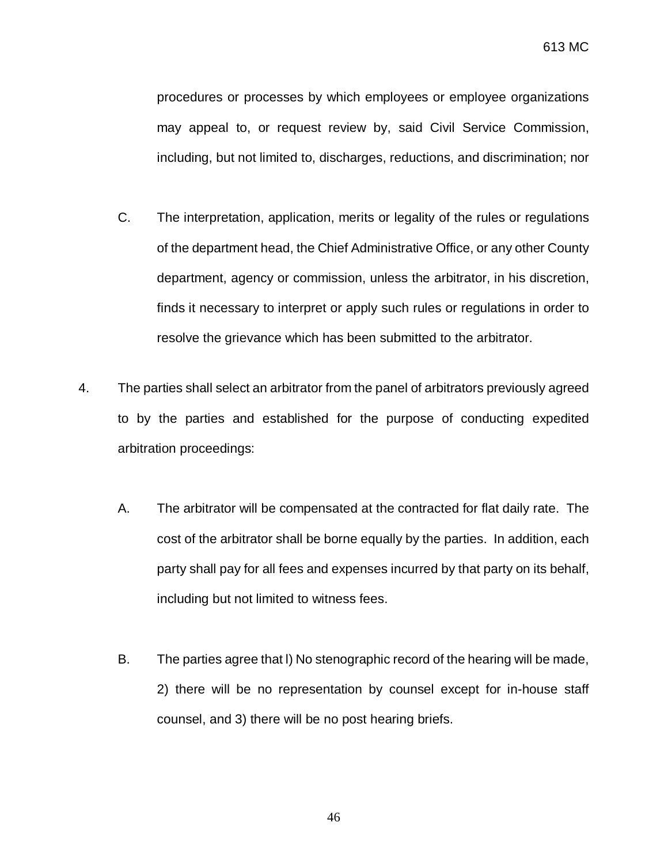procedures or processes by which employees or employee organizations may appeal to, or request review by, said Civil Service Commission, including, but not limited to, discharges, reductions, and discrimination; nor

- C. The interpretation, application, merits or legality of the rules or regulations of the department head, the Chief Administrative Office, or any other County department, agency or commission, unless the arbitrator, in his discretion, finds it necessary to interpret or apply such rules or regulations in order to resolve the grievance which has been submitted to the arbitrator.
- 4. The parties shall select an arbitrator from the panel of arbitrators previously agreed to by the parties and established for the purpose of conducting expedited arbitration proceedings:
	- A. The arbitrator will be compensated at the contracted for flat daily rate. The cost of the arbitrator shall be borne equally by the parties. In addition, each party shall pay for all fees and expenses incurred by that party on its behalf, including but not limited to witness fees.
	- B. The parties agree that l) No stenographic record of the hearing will be made, 2) there will be no representation by counsel except for in-house staff counsel, and 3) there will be no post hearing briefs.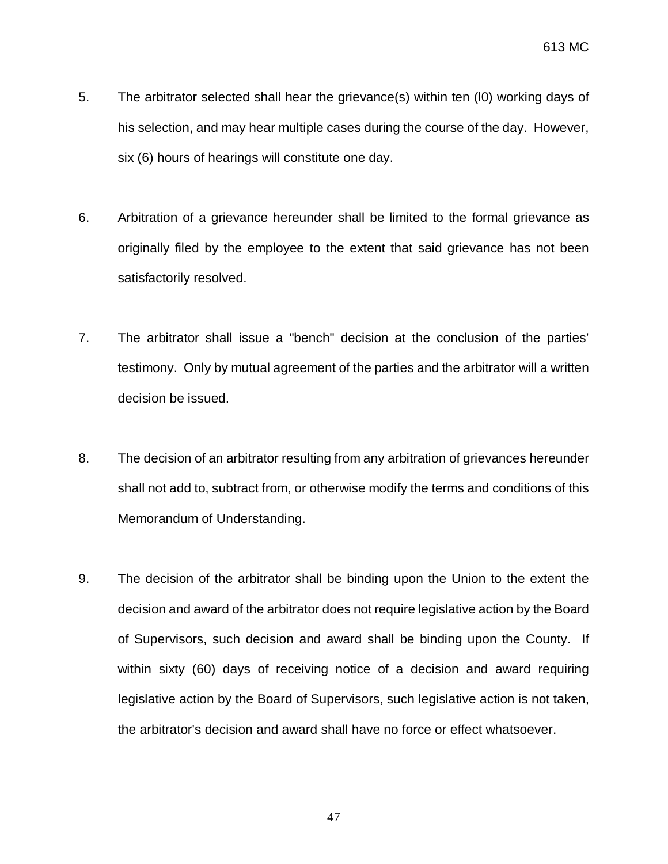- 5. The arbitrator selected shall hear the grievance(s) within ten (l0) working days of his selection, and may hear multiple cases during the course of the day. However, six (6) hours of hearings will constitute one day.
- 6. Arbitration of a grievance hereunder shall be limited to the formal grievance as originally filed by the employee to the extent that said grievance has not been satisfactorily resolved.
- 7. The arbitrator shall issue a "bench" decision at the conclusion of the parties' testimony. Only by mutual agreement of the parties and the arbitrator will a written decision be issued.
- 8. The decision of an arbitrator resulting from any arbitration of grievances hereunder shall not add to, subtract from, or otherwise modify the terms and conditions of this Memorandum of Understanding.
- 9. The decision of the arbitrator shall be binding upon the Union to the extent the decision and award of the arbitrator does not require legislative action by the Board of Supervisors, such decision and award shall be binding upon the County. If within sixty (60) days of receiving notice of a decision and award requiring legislative action by the Board of Supervisors, such legislative action is not taken, the arbitrator's decision and award shall have no force or effect whatsoever.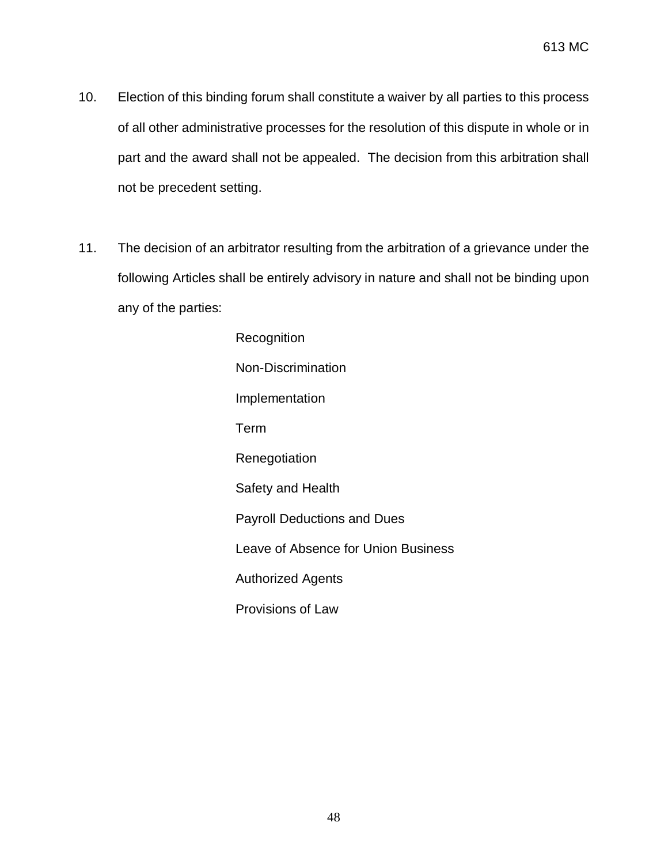- 10. Election of this binding forum shall constitute a waiver by all parties to this process of all other administrative processes for the resolution of this dispute in whole or in part and the award shall not be appealed. The decision from this arbitration shall not be precedent setting.
- 11. The decision of an arbitrator resulting from the arbitration of a grievance under the following Articles shall be entirely advisory in nature and shall not be binding upon any of the parties:

Recognition Non-Discrimination Implementation Term Renegotiation Safety and Health Payroll Deductions and Dues Leave of Absence for Union Business Authorized Agents Provisions of Law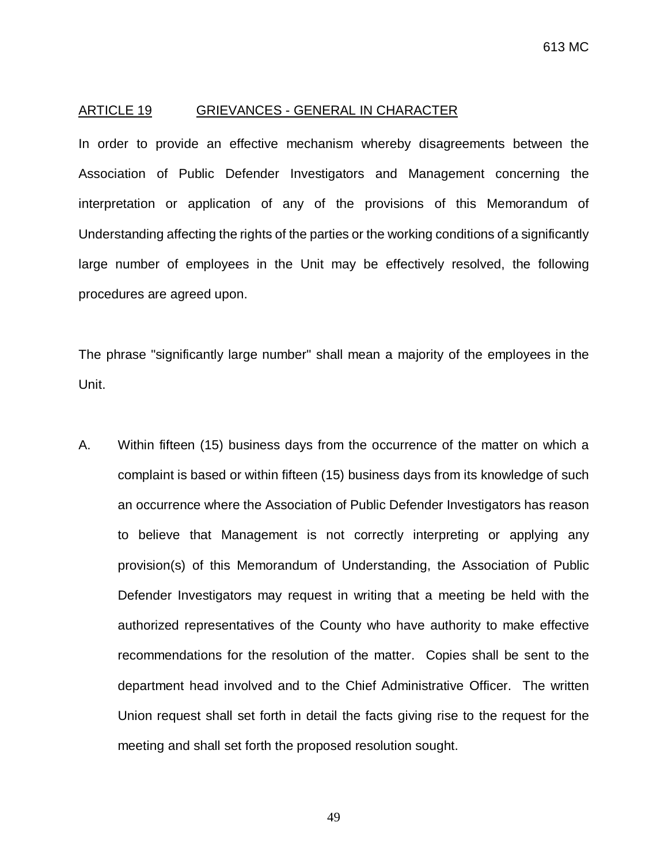#### ARTICLE 19 GRIEVANCES - GENERAL IN CHARACTER

In order to provide an effective mechanism whereby disagreements between the Association of Public Defender Investigators and Management concerning the interpretation or application of any of the provisions of this Memorandum of Understanding affecting the rights of the parties or the working conditions of a significantly large number of employees in the Unit may be effectively resolved, the following procedures are agreed upon.

The phrase "significantly large number" shall mean a majority of the employees in the Unit.

A. Within fifteen (15) business days from the occurrence of the matter on which a complaint is based or within fifteen (15) business days from its knowledge of such an occurrence where the Association of Public Defender Investigators has reason to believe that Management is not correctly interpreting or applying any provision(s) of this Memorandum of Understanding, the Association of Public Defender Investigators may request in writing that a meeting be held with the authorized representatives of the County who have authority to make effective recommendations for the resolution of the matter. Copies shall be sent to the department head involved and to the Chief Administrative Officer. The written Union request shall set forth in detail the facts giving rise to the request for the meeting and shall set forth the proposed resolution sought.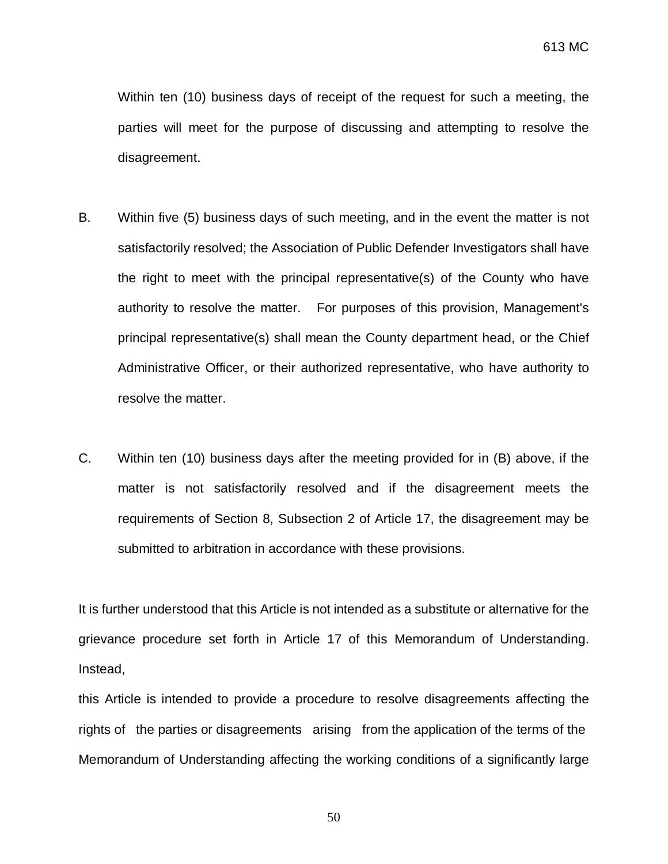Within ten (10) business days of receipt of the request for such a meeting, the parties will meet for the purpose of discussing and attempting to resolve the disagreement.

- B. Within five (5) business days of such meeting, and in the event the matter is not satisfactorily resolved; the Association of Public Defender Investigators shall have the right to meet with the principal representative(s) of the County who have authority to resolve the matter. For purposes of this provision, Management's principal representative(s) shall mean the County department head, or the Chief Administrative Officer, or their authorized representative, who have authority to resolve the matter.
- C. Within ten (10) business days after the meeting provided for in (B) above, if the matter is not satisfactorily resolved and if the disagreement meets the requirements of Section 8, Subsection 2 of Article 17, the disagreement may be submitted to arbitration in accordance with these provisions.

It is further understood that this Article is not intended as a substitute or alternative for the grievance procedure set forth in Article 17 of this Memorandum of Understanding. Instead,

this Article is intended to provide a procedure to resolve disagreements affecting the rights of the parties or disagreements arising from the application of the terms of the Memorandum of Understanding affecting the working conditions of a significantly large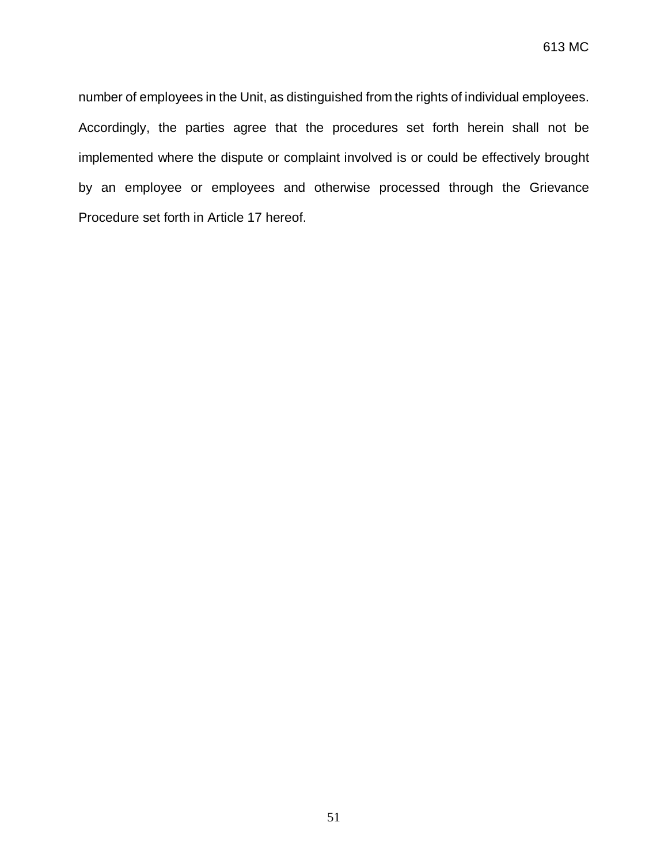number of employees in the Unit, as distinguished from the rights of individual employees. Accordingly, the parties agree that the procedures set forth herein shall not be implemented where the dispute or complaint involved is or could be effectively brought by an employee or employees and otherwise processed through the Grievance Procedure set forth in Article 17 hereof.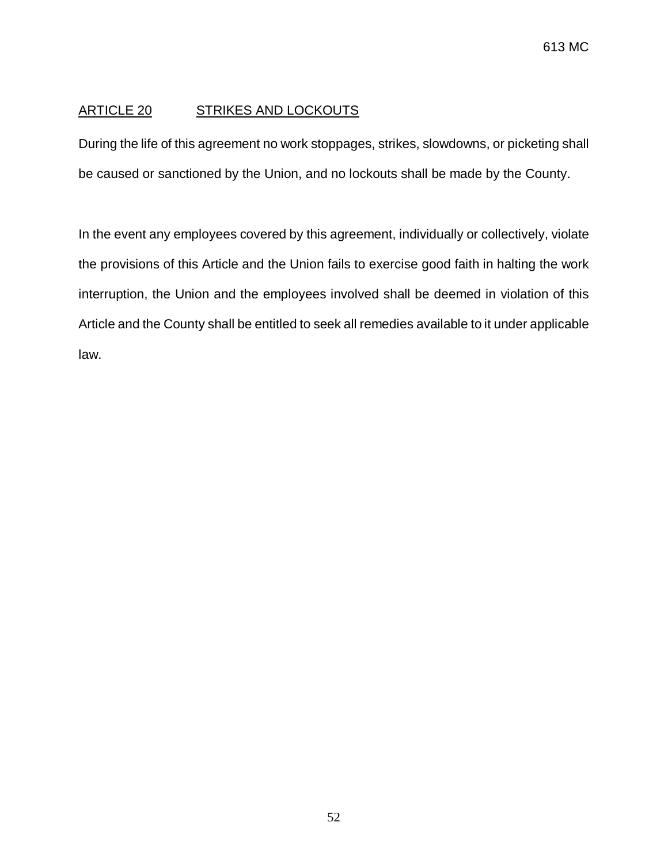# ARTICLE 20 STRIKES AND LOCKOUTS

During the life of this agreement no work stoppages, strikes, slowdowns, or picketing shall be caused or sanctioned by the Union, and no lockouts shall be made by the County.

In the event any employees covered by this agreement, individually or collectively, violate the provisions of this Article and the Union fails to exercise good faith in halting the work interruption, the Union and the employees involved shall be deemed in violation of this Article and the County shall be entitled to seek all remedies available to it under applicable law.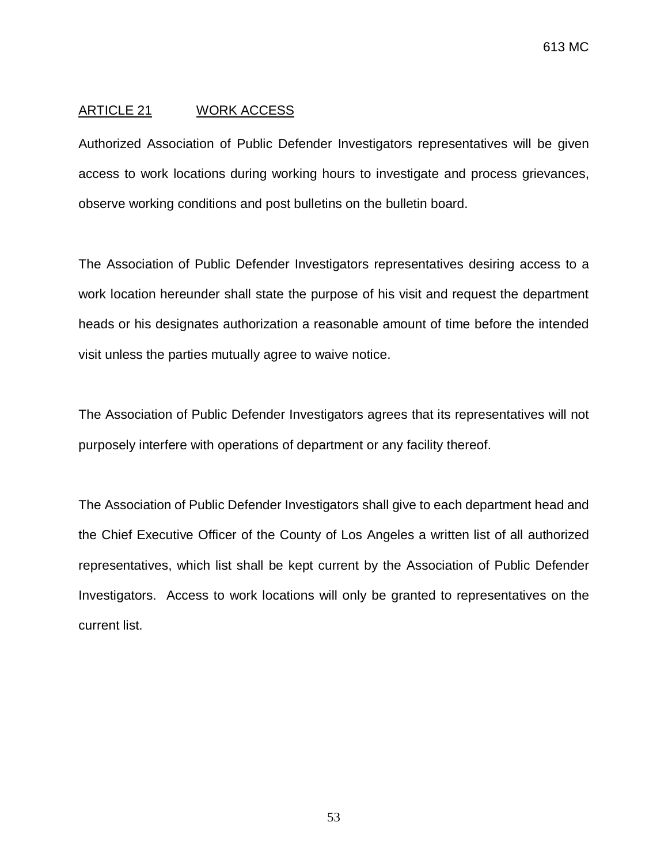#### ARTICLE 21 WORK ACCESS

Authorized Association of Public Defender Investigators representatives will be given access to work locations during working hours to investigate and process grievances, observe working conditions and post bulletins on the bulletin board.

The Association of Public Defender Investigators representatives desiring access to a work location hereunder shall state the purpose of his visit and request the department heads or his designates authorization a reasonable amount of time before the intended visit unless the parties mutually agree to waive notice.

The Association of Public Defender Investigators agrees that its representatives will not purposely interfere with operations of department or any facility thereof.

The Association of Public Defender Investigators shall give to each department head and the Chief Executive Officer of the County of Los Angeles a written list of all authorized representatives, which list shall be kept current by the Association of Public Defender Investigators. Access to work locations will only be granted to representatives on the current list.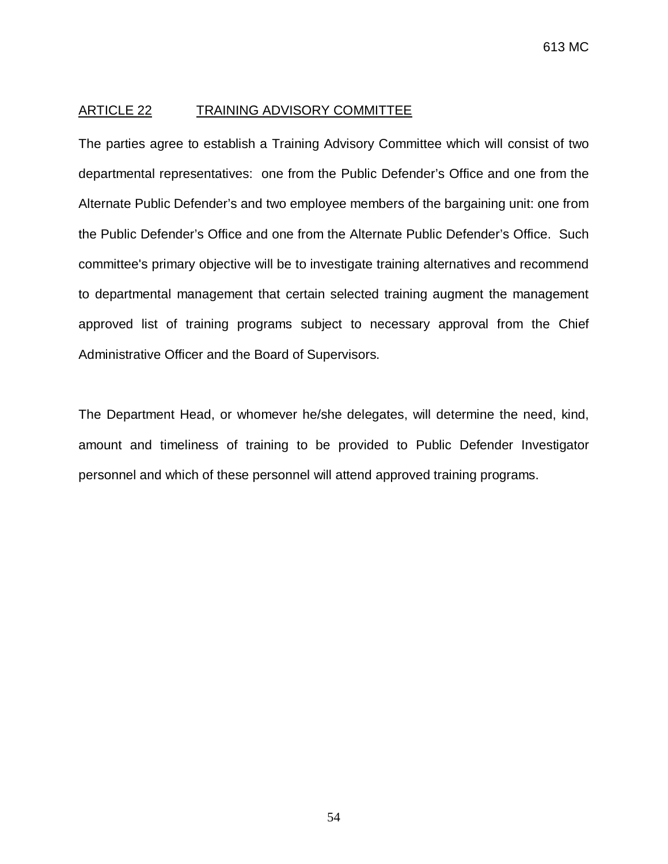#### ARTICLE 22 TRAINING ADVISORY COMMITTEE

The parties agree to establish a Training Advisory Committee which will consist of two departmental representatives: one from the Public Defender's Office and one from the Alternate Public Defender's and two employee members of the bargaining unit: one from the Public Defender's Office and one from the Alternate Public Defender's Office. Such committee's primary objective will be to investigate training alternatives and recommend to departmental management that certain selected training augment the management approved list of training programs subject to necessary approval from the Chief Administrative Officer and the Board of Supervisors.

The Department Head, or whomever he/she delegates, will determine the need, kind, amount and timeliness of training to be provided to Public Defender Investigator personnel and which of these personnel will attend approved training programs.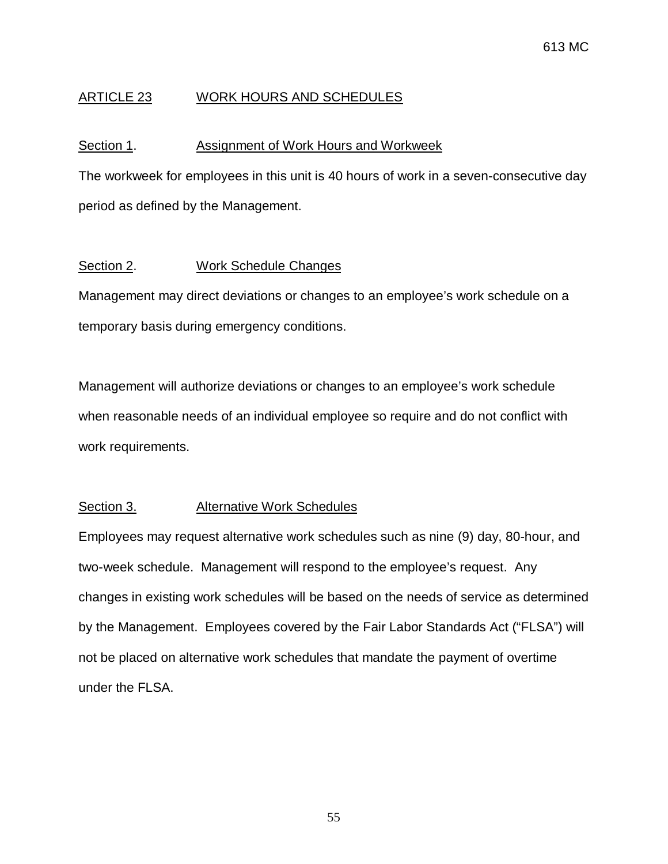# ARTICLE 23 WORK HOURS AND SCHEDULES

## Section 1. **Assignment of Work Hours and Workweek**

The workweek for employees in this unit is 40 hours of work in a seven-consecutive day period as defined by the Management.

## Section 2. Work Schedule Changes

Management may direct deviations or changes to an employee's work schedule on a temporary basis during emergency conditions.

Management will authorize deviations or changes to an employee's work schedule when reasonable needs of an individual employee so require and do not conflict with work requirements.

## Section 3. Alternative Work Schedules

Employees may request alternative work schedules such as nine (9) day, 80-hour, and two-week schedule. Management will respond to the employee's request. Any changes in existing work schedules will be based on the needs of service as determined by the Management. Employees covered by the Fair Labor Standards Act ("FLSA") will not be placed on alternative work schedules that mandate the payment of overtime under the FLSA.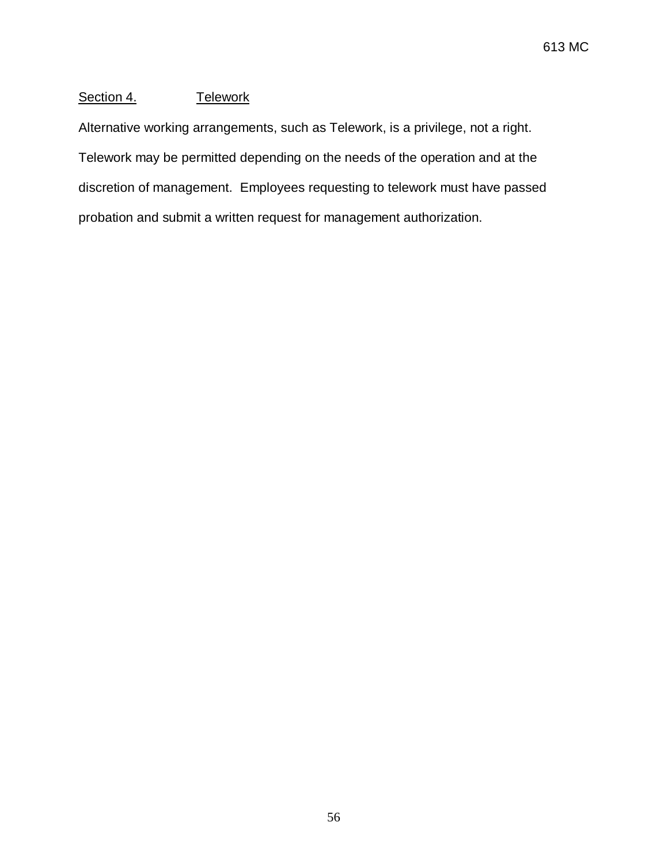## Section 4. Telework

Alternative working arrangements, such as Telework, is a privilege, not a right. Telework may be permitted depending on the needs of the operation and at the discretion of management. Employees requesting to telework must have passed probation and submit a written request for management authorization.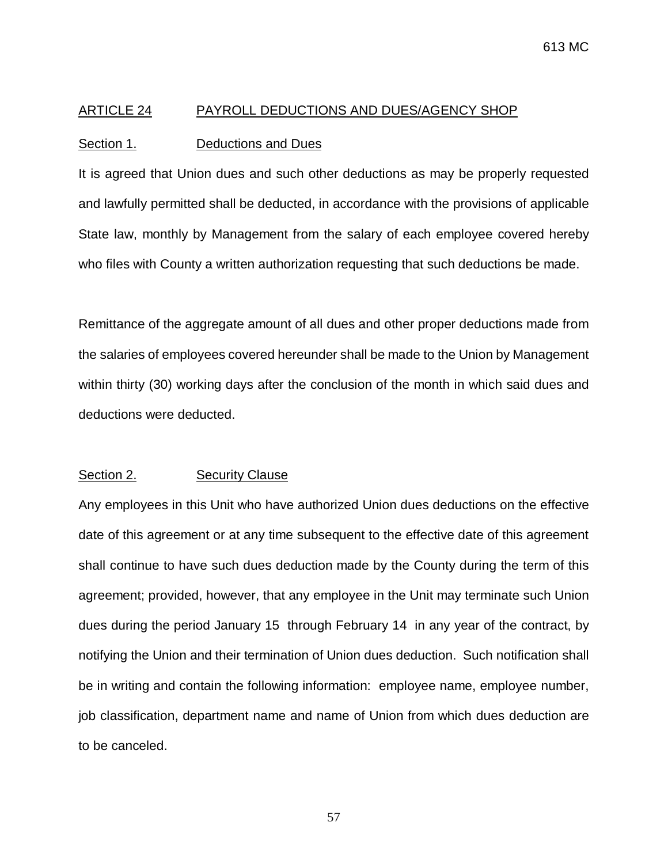#### ARTICLE 24 PAYROLL DEDUCTIONS AND DUES/AGENCY SHOP

#### Section 1. Deductions and Dues

It is agreed that Union dues and such other deductions as may be properly requested and lawfully permitted shall be deducted, in accordance with the provisions of applicable State law, monthly by Management from the salary of each employee covered hereby who files with County a written authorization requesting that such deductions be made.

Remittance of the aggregate amount of all dues and other proper deductions made from the salaries of employees covered hereunder shall be made to the Union by Management within thirty (30) working days after the conclusion of the month in which said dues and deductions were deducted.

#### Section 2. Security Clause

Any employees in this Unit who have authorized Union dues deductions on the effective date of this agreement or at any time subsequent to the effective date of this agreement shall continue to have such dues deduction made by the County during the term of this agreement; provided, however, that any employee in the Unit may terminate such Union dues during the period January 15 through February 14 in any year of the contract, by notifying the Union and their termination of Union dues deduction. Such notification shall be in writing and contain the following information: employee name, employee number, job classification, department name and name of Union from which dues deduction are to be canceled.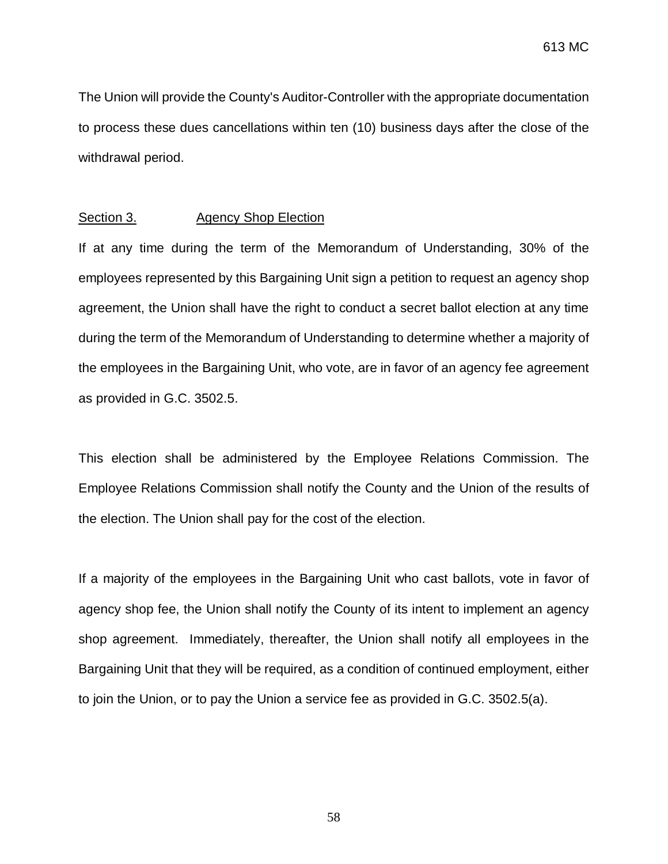The Union will provide the County's Auditor-Controller with the appropriate documentation to process these dues cancellations within ten (10) business days after the close of the withdrawal period.

#### Section 3. Agency Shop Election

If at any time during the term of the Memorandum of Understanding, 30% of the employees represented by this Bargaining Unit sign a petition to request an agency shop agreement, the Union shall have the right to conduct a secret ballot election at any time during the term of the Memorandum of Understanding to determine whether a majority of the employees in the Bargaining Unit, who vote, are in favor of an agency fee agreement as provided in G.C. 3502.5.

This election shall be administered by the Employee Relations Commission. The Employee Relations Commission shall notify the County and the Union of the results of the election. The Union shall pay for the cost of the election.

If a majority of the employees in the Bargaining Unit who cast ballots, vote in favor of agency shop fee, the Union shall notify the County of its intent to implement an agency shop agreement. Immediately, thereafter, the Union shall notify all employees in the Bargaining Unit that they will be required, as a condition of continued employment, either to join the Union, or to pay the Union a service fee as provided in G.C. 3502.5(a).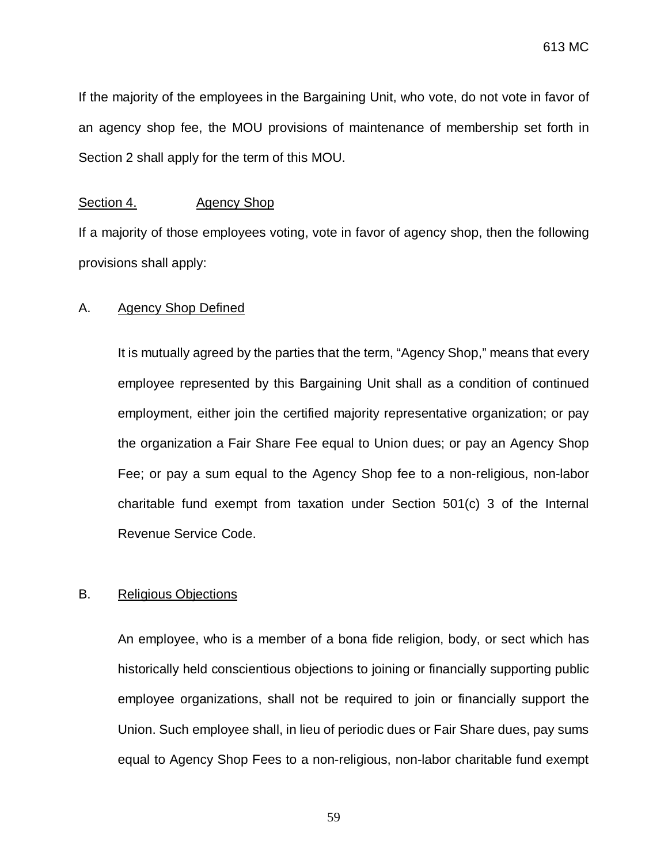If the majority of the employees in the Bargaining Unit, who vote, do not vote in favor of an agency shop fee, the MOU provisions of maintenance of membership set forth in Section 2 shall apply for the term of this MOU.

#### Section 4. Agency Shop

If a majority of those employees voting, vote in favor of agency shop, then the following provisions shall apply:

#### A. Agency Shop Defined

It is mutually agreed by the parties that the term, "Agency Shop," means that every employee represented by this Bargaining Unit shall as a condition of continued employment, either join the certified majority representative organization; or pay the organization a Fair Share Fee equal to Union dues; or pay an Agency Shop Fee; or pay a sum equal to the Agency Shop fee to a non-religious, non-labor charitable fund exempt from taxation under Section 501(c) 3 of the Internal Revenue Service Code.

#### B. Religious Objections

An employee, who is a member of a bona fide religion, body, or sect which has historically held conscientious objections to joining or financially supporting public employee organizations, shall not be required to join or financially support the Union. Such employee shall, in lieu of periodic dues or Fair Share dues, pay sums equal to Agency Shop Fees to a non-religious, non-labor charitable fund exempt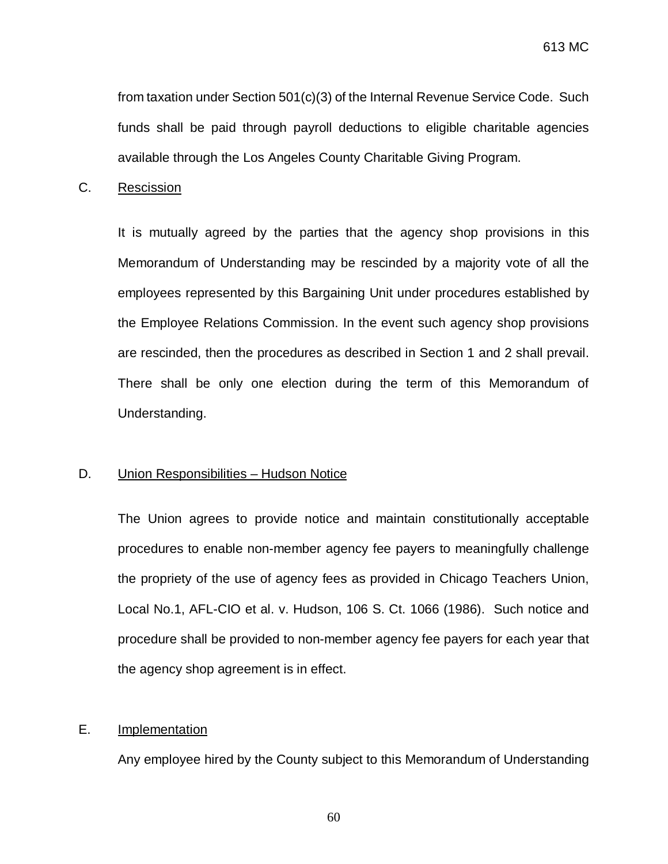from taxation under Section 501(c)(3) of the Internal Revenue Service Code. Such funds shall be paid through payroll deductions to eligible charitable agencies available through the Los Angeles County Charitable Giving Program.

## C. Rescission

It is mutually agreed by the parties that the agency shop provisions in this Memorandum of Understanding may be rescinded by a majority vote of all the employees represented by this Bargaining Unit under procedures established by the Employee Relations Commission. In the event such agency shop provisions are rescinded, then the procedures as described in Section 1 and 2 shall prevail. There shall be only one election during the term of this Memorandum of Understanding.

#### D. Union Responsibilities – Hudson Notice

The Union agrees to provide notice and maintain constitutionally acceptable procedures to enable non-member agency fee payers to meaningfully challenge the propriety of the use of agency fees as provided in Chicago Teachers Union, Local No.1, AFL-CIO et al. v. Hudson, 106 S. Ct. 1066 (1986). Such notice and procedure shall be provided to non-member agency fee payers for each year that the agency shop agreement is in effect.

#### E. Implementation

Any employee hired by the County subject to this Memorandum of Understanding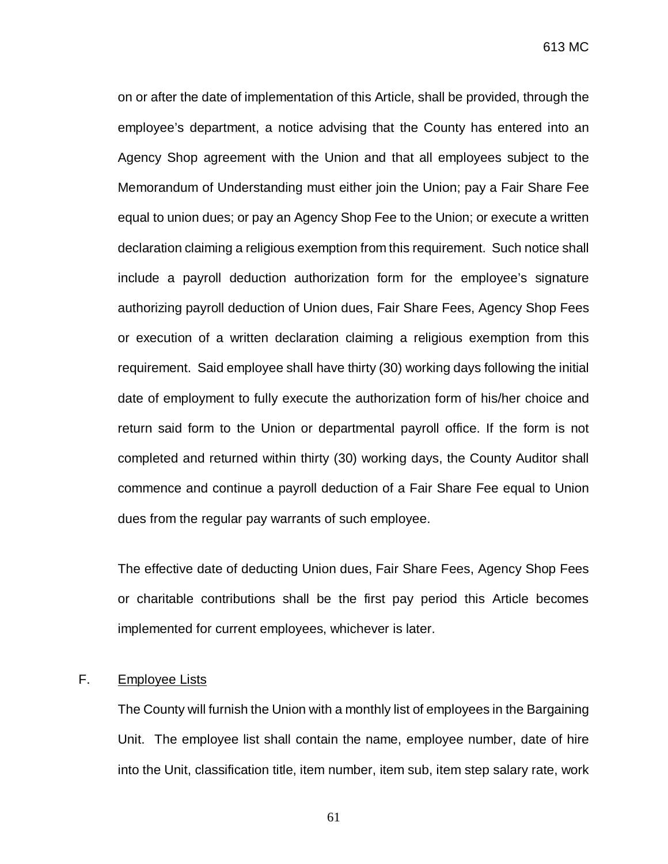613 MC

on or after the date of implementation of this Article, shall be provided, through the employee's department, a notice advising that the County has entered into an Agency Shop agreement with the Union and that all employees subject to the Memorandum of Understanding must either join the Union; pay a Fair Share Fee equal to union dues; or pay an Agency Shop Fee to the Union; or execute a written declaration claiming a religious exemption from this requirement. Such notice shall include a payroll deduction authorization form for the employee's signature authorizing payroll deduction of Union dues, Fair Share Fees, Agency Shop Fees or execution of a written declaration claiming a religious exemption from this requirement. Said employee shall have thirty (30) working days following the initial date of employment to fully execute the authorization form of his/her choice and return said form to the Union or departmental payroll office. If the form is not completed and returned within thirty (30) working days, the County Auditor shall commence and continue a payroll deduction of a Fair Share Fee equal to Union dues from the regular pay warrants of such employee.

The effective date of deducting Union dues, Fair Share Fees, Agency Shop Fees or charitable contributions shall be the first pay period this Article becomes implemented for current employees, whichever is later.

# F. Employee Lists

The County will furnish the Union with a monthly list of employees in the Bargaining Unit. The employee list shall contain the name, employee number, date of hire into the Unit, classification title, item number, item sub, item step salary rate, work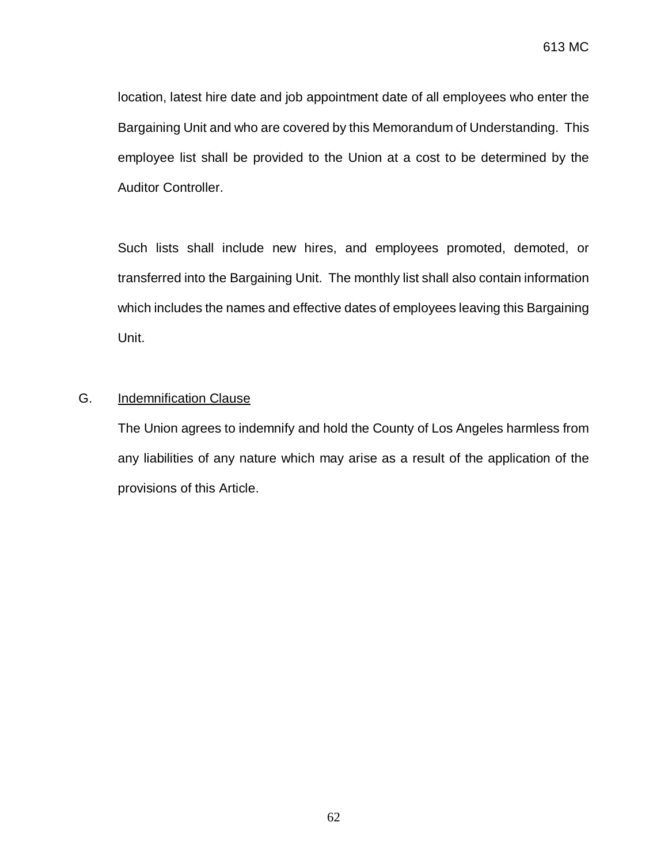location, latest hire date and job appointment date of all employees who enter the Bargaining Unit and who are covered by this Memorandum of Understanding. This employee list shall be provided to the Union at a cost to be determined by the Auditor Controller.

Such lists shall include new hires, and employees promoted, demoted, or transferred into the Bargaining Unit. The monthly list shall also contain information which includes the names and effective dates of employees leaving this Bargaining Unit.

# G. Indemnification Clause

The Union agrees to indemnify and hold the County of Los Angeles harmless from any liabilities of any nature which may arise as a result of the application of the provisions of this Article.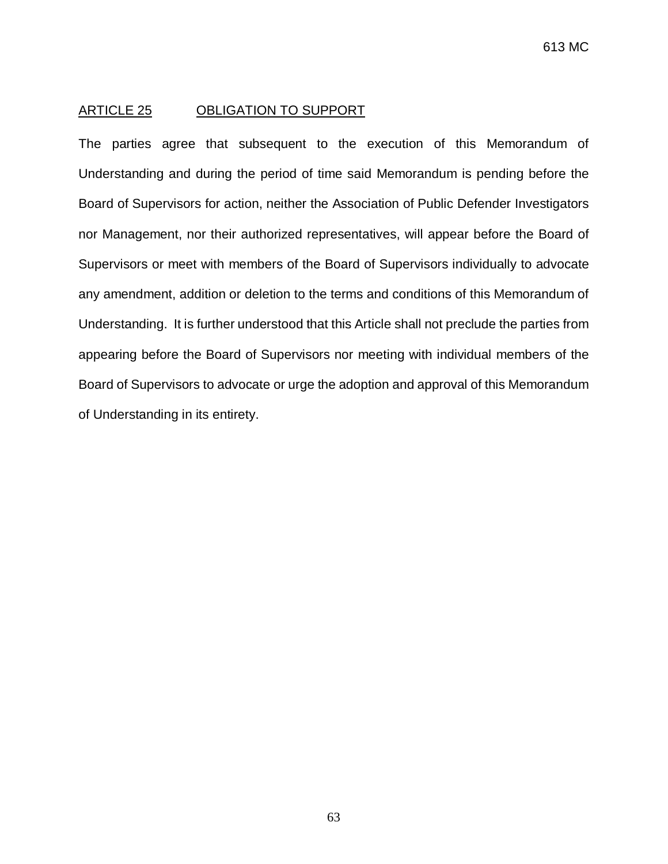#### ARTICLE 25 OBLIGATION TO SUPPORT

The parties agree that subsequent to the execution of this Memorandum of Understanding and during the period of time said Memorandum is pending before the Board of Supervisors for action, neither the Association of Public Defender Investigators nor Management, nor their authorized representatives, will appear before the Board of Supervisors or meet with members of the Board of Supervisors individually to advocate any amendment, addition or deletion to the terms and conditions of this Memorandum of Understanding. It is further understood that this Article shall not preclude the parties from appearing before the Board of Supervisors nor meeting with individual members of the Board of Supervisors to advocate or urge the adoption and approval of this Memorandum of Understanding in its entirety.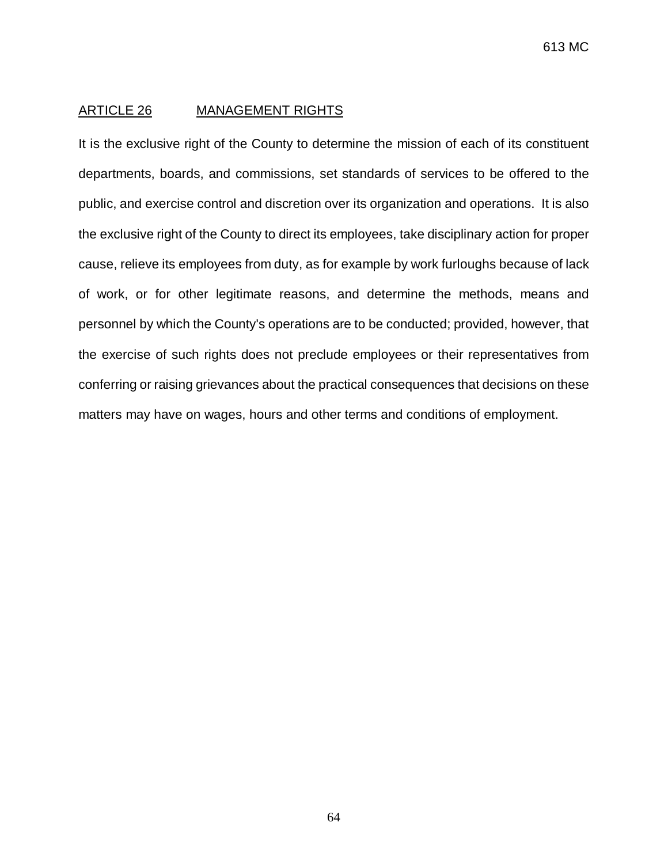#### ARTICLE 26 MANAGEMENT RIGHTS

It is the exclusive right of the County to determine the mission of each of its constituent departments, boards, and commissions, set standards of services to be offered to the public, and exercise control and discretion over its organization and operations. It is also the exclusive right of the County to direct its employees, take disciplinary action for proper cause, relieve its employees from duty, as for example by work furloughs because of lack of work, or for other legitimate reasons, and determine the methods, means and personnel by which the County's operations are to be conducted; provided, however, that the exercise of such rights does not preclude employees or their representatives from conferring or raising grievances about the practical consequences that decisions on these matters may have on wages, hours and other terms and conditions of employment.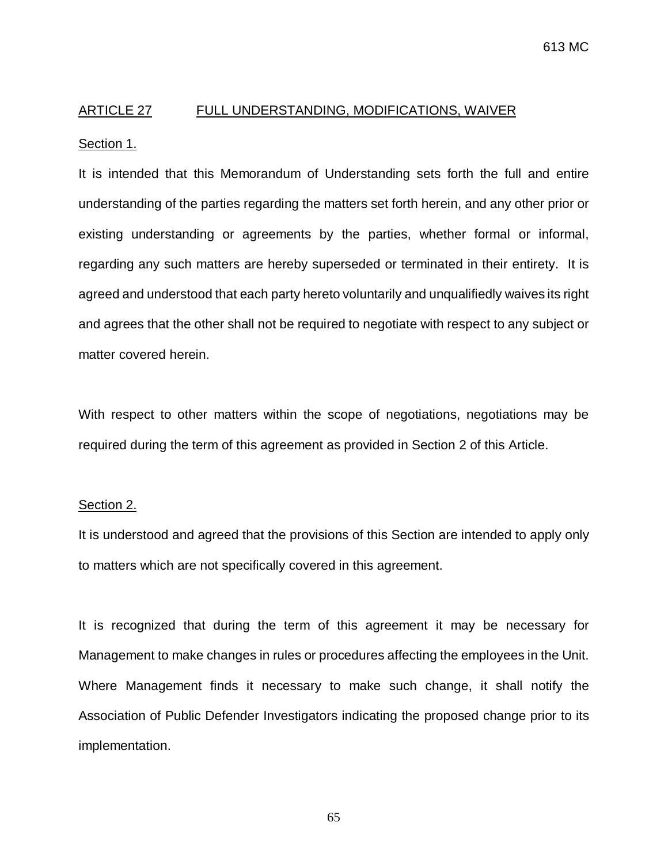# ARTICLE 27 FULL UNDERSTANDING, MODIFICATIONS, WAIVER

#### Section 1.

It is intended that this Memorandum of Understanding sets forth the full and entire understanding of the parties regarding the matters set forth herein, and any other prior or existing understanding or agreements by the parties, whether formal or informal, regarding any such matters are hereby superseded or terminated in their entirety. It is agreed and understood that each party hereto voluntarily and unqualifiedly waives its right and agrees that the other shall not be required to negotiate with respect to any subject or matter covered herein.

With respect to other matters within the scope of negotiations, negotiations may be required during the term of this agreement as provided in Section 2 of this Article.

#### Section 2.

It is understood and agreed that the provisions of this Section are intended to apply only to matters which are not specifically covered in this agreement.

It is recognized that during the term of this agreement it may be necessary for Management to make changes in rules or procedures affecting the employees in the Unit. Where Management finds it necessary to make such change, it shall notify the Association of Public Defender Investigators indicating the proposed change prior to its implementation.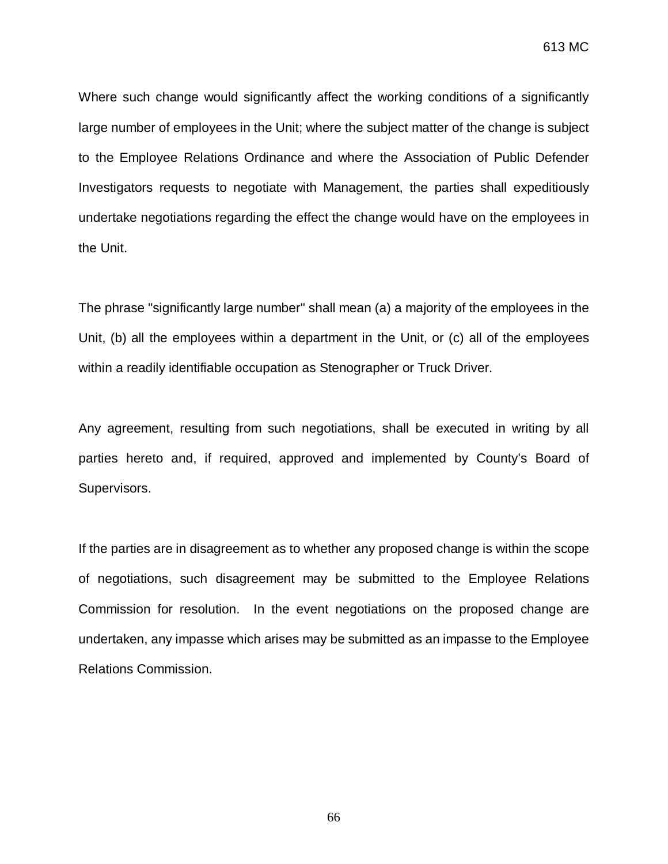613 MC

Where such change would significantly affect the working conditions of a significantly large number of employees in the Unit; where the subject matter of the change is subject to the Employee Relations Ordinance and where the Association of Public Defender Investigators requests to negotiate with Management, the parties shall expeditiously undertake negotiations regarding the effect the change would have on the employees in the Unit.

The phrase "significantly large number" shall mean (a) a majority of the employees in the Unit, (b) all the employees within a department in the Unit, or (c) all of the employees within a readily identifiable occupation as Stenographer or Truck Driver.

Any agreement, resulting from such negotiations, shall be executed in writing by all parties hereto and, if required, approved and implemented by County's Board of Supervisors.

If the parties are in disagreement as to whether any proposed change is within the scope of negotiations, such disagreement may be submitted to the Employee Relations Commission for resolution. In the event negotiations on the proposed change are undertaken, any impasse which arises may be submitted as an impasse to the Employee Relations Commission.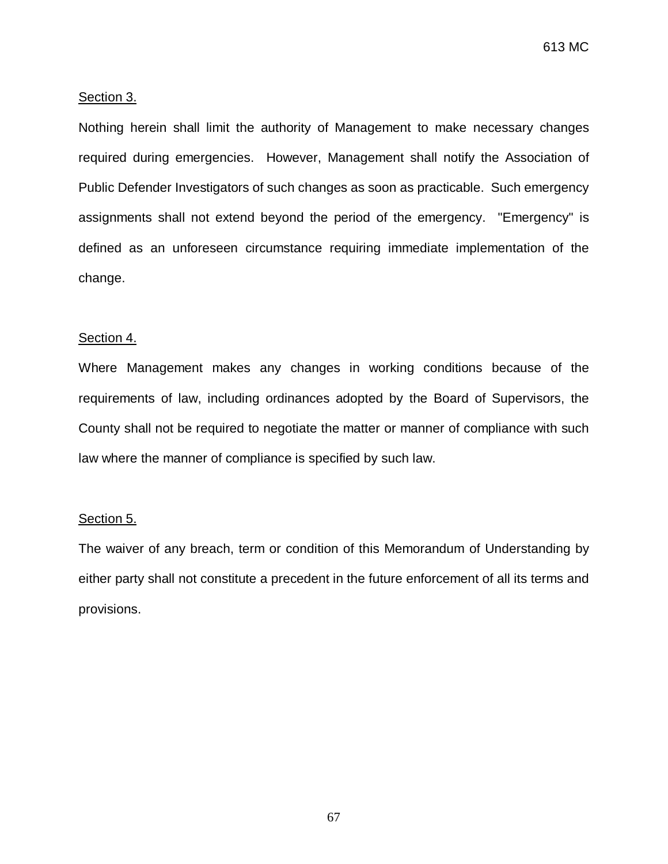613 MC

#### Section 3.

Nothing herein shall limit the authority of Management to make necessary changes required during emergencies. However, Management shall notify the Association of Public Defender Investigators of such changes as soon as practicable. Such emergency assignments shall not extend beyond the period of the emergency. "Emergency" is defined as an unforeseen circumstance requiring immediate implementation of the change.

#### Section 4.

Where Management makes any changes in working conditions because of the requirements of law, including ordinances adopted by the Board of Supervisors, the County shall not be required to negotiate the matter or manner of compliance with such law where the manner of compliance is specified by such law.

#### Section 5.

The waiver of any breach, term or condition of this Memorandum of Understanding by either party shall not constitute a precedent in the future enforcement of all its terms and provisions.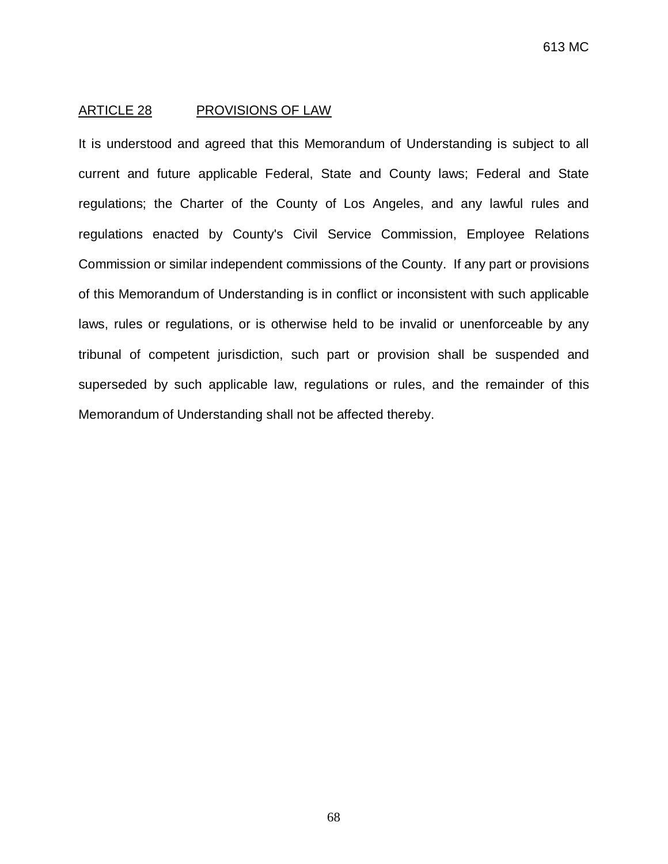#### ARTICLE 28 PROVISIONS OF LAW

It is understood and agreed that this Memorandum of Understanding is subject to all current and future applicable Federal, State and County laws; Federal and State regulations; the Charter of the County of Los Angeles, and any lawful rules and regulations enacted by County's Civil Service Commission, Employee Relations Commission or similar independent commissions of the County. If any part or provisions of this Memorandum of Understanding is in conflict or inconsistent with such applicable laws, rules or regulations, or is otherwise held to be invalid or unenforceable by any tribunal of competent jurisdiction, such part or provision shall be suspended and superseded by such applicable law, regulations or rules, and the remainder of this Memorandum of Understanding shall not be affected thereby.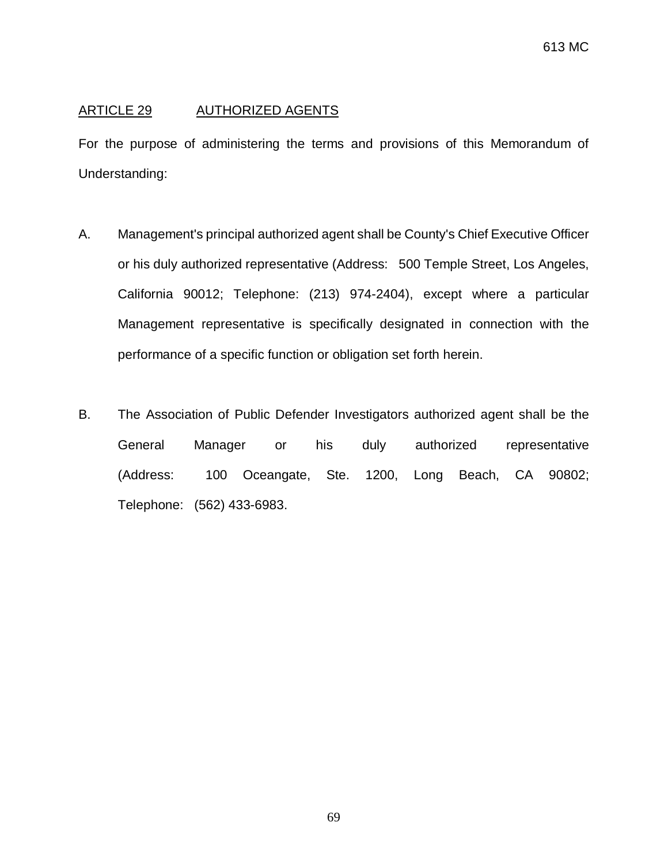## ARTICLE 29 AUTHORIZED AGENTS

For the purpose of administering the terms and provisions of this Memorandum of Understanding:

- A. Management's principal authorized agent shall be County's Chief Executive Officer or his duly authorized representative (Address: 500 Temple Street, Los Angeles, California 90012; Telephone: (213) 974-2404), except where a particular Management representative is specifically designated in connection with the performance of a specific function or obligation set forth herein.
- B. The Association of Public Defender Investigators authorized agent shall be the General Manager or his duly authorized representative (Address: 100 Oceangate, Ste. 1200, Long Beach, CA 90802; Telephone: (562) 433-6983.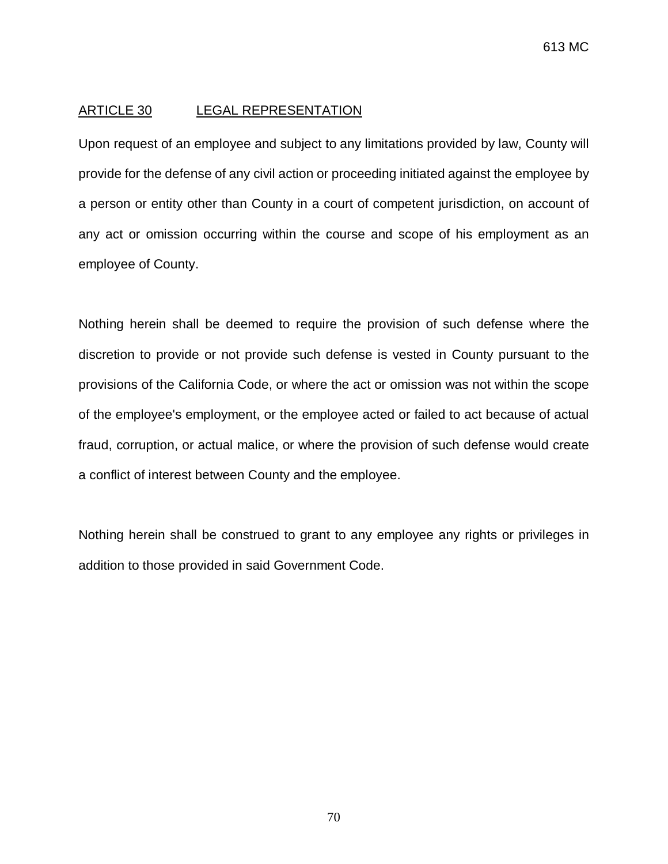#### ARTICLE 30 LEGAL REPRESENTATION

Upon request of an employee and subject to any limitations provided by law, County will provide for the defense of any civil action or proceeding initiated against the employee by a person or entity other than County in a court of competent jurisdiction, on account of any act or omission occurring within the course and scope of his employment as an employee of County.

Nothing herein shall be deemed to require the provision of such defense where the discretion to provide or not provide such defense is vested in County pursuant to the provisions of the California Code, or where the act or omission was not within the scope of the employee's employment, or the employee acted or failed to act because of actual fraud, corruption, or actual malice, or where the provision of such defense would create a conflict of interest between County and the employee.

Nothing herein shall be construed to grant to any employee any rights or privileges in addition to those provided in said Government Code.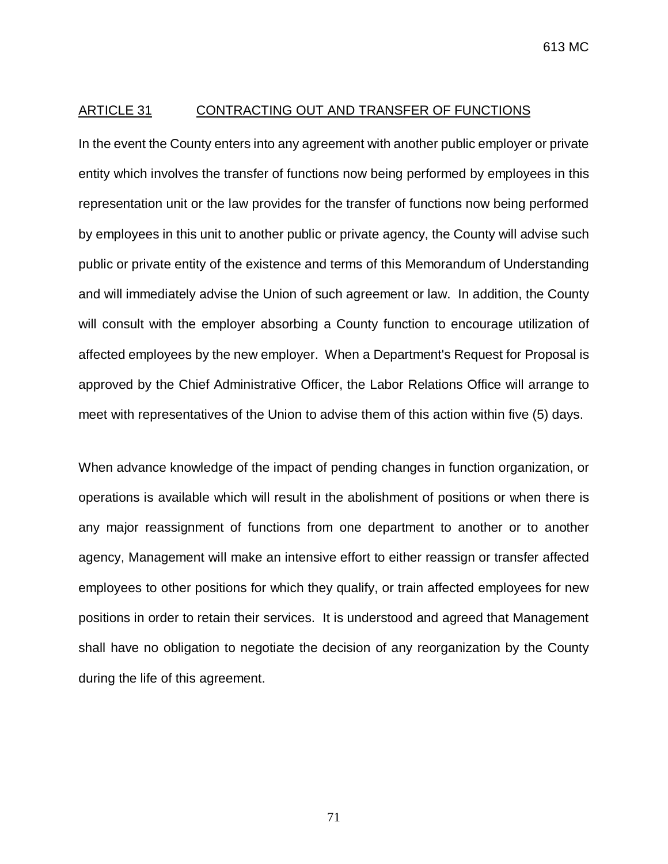#### ARTICLE 31 CONTRACTING OUT AND TRANSFER OF FUNCTIONS

In the event the County enters into any agreement with another public employer or private entity which involves the transfer of functions now being performed by employees in this representation unit or the law provides for the transfer of functions now being performed by employees in this unit to another public or private agency, the County will advise such public or private entity of the existence and terms of this Memorandum of Understanding and will immediately advise the Union of such agreement or law. In addition, the County will consult with the employer absorbing a County function to encourage utilization of affected employees by the new employer. When a Department's Request for Proposal is approved by the Chief Administrative Officer, the Labor Relations Office will arrange to meet with representatives of the Union to advise them of this action within five (5) days.

When advance knowledge of the impact of pending changes in function organization, or operations is available which will result in the abolishment of positions or when there is any major reassignment of functions from one department to another or to another agency, Management will make an intensive effort to either reassign or transfer affected employees to other positions for which they qualify, or train affected employees for new positions in order to retain their services. It is understood and agreed that Management shall have no obligation to negotiate the decision of any reorganization by the County during the life of this agreement.

71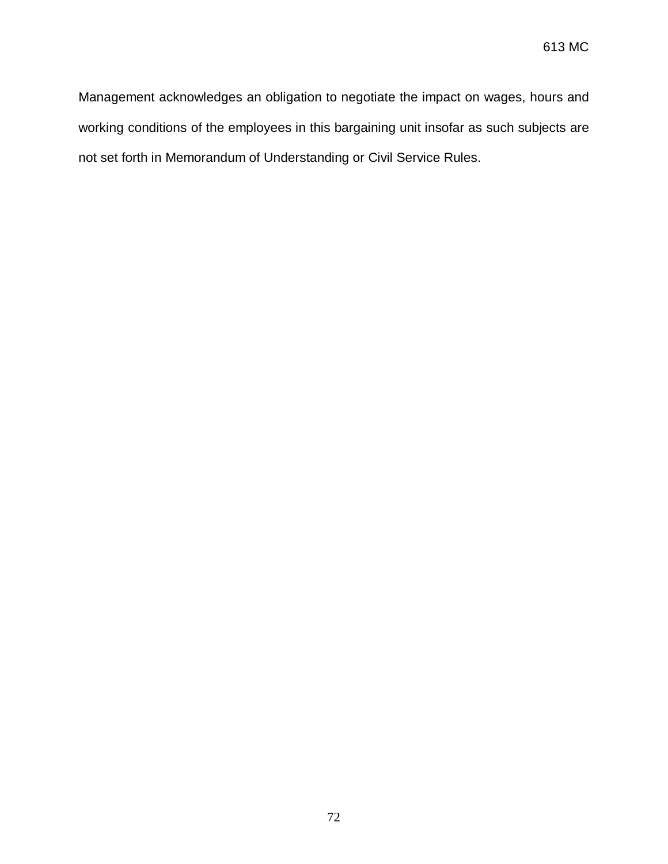Management acknowledges an obligation to negotiate the impact on wages, hours and working conditions of the employees in this bargaining unit insofar as such subjects are not set forth in Memorandum of Understanding or Civil Service Rules.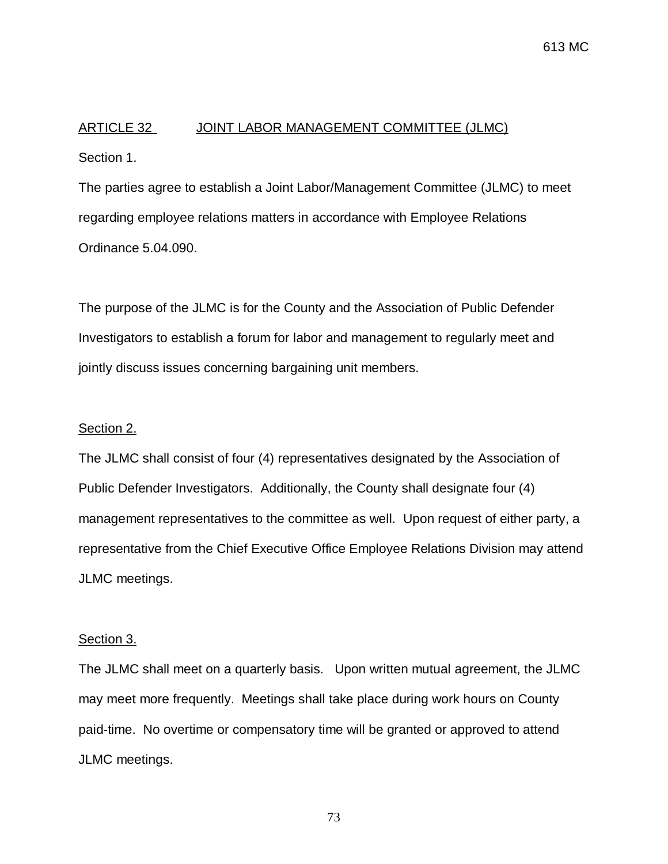# ARTICLE 32 JOINT LABOR MANAGEMENT COMMITTEE (JLMC) Section 1.

The parties agree to establish a Joint Labor/Management Committee (JLMC) to meet regarding employee relations matters in accordance with Employee Relations Ordinance 5.04.090.

The purpose of the JLMC is for the County and the Association of Public Defender Investigators to establish a forum for labor and management to regularly meet and jointly discuss issues concerning bargaining unit members.

## Section 2.

The JLMC shall consist of four (4) representatives designated by the Association of Public Defender Investigators. Additionally, the County shall designate four (4) management representatives to the committee as well. Upon request of either party, a representative from the Chief Executive Office Employee Relations Division may attend JLMC meetings.

### Section 3.

The JLMC shall meet on a quarterly basis. Upon written mutual agreement, the JLMC may meet more frequently. Meetings shall take place during work hours on County paid-time. No overtime or compensatory time will be granted or approved to attend JLMC meetings.

73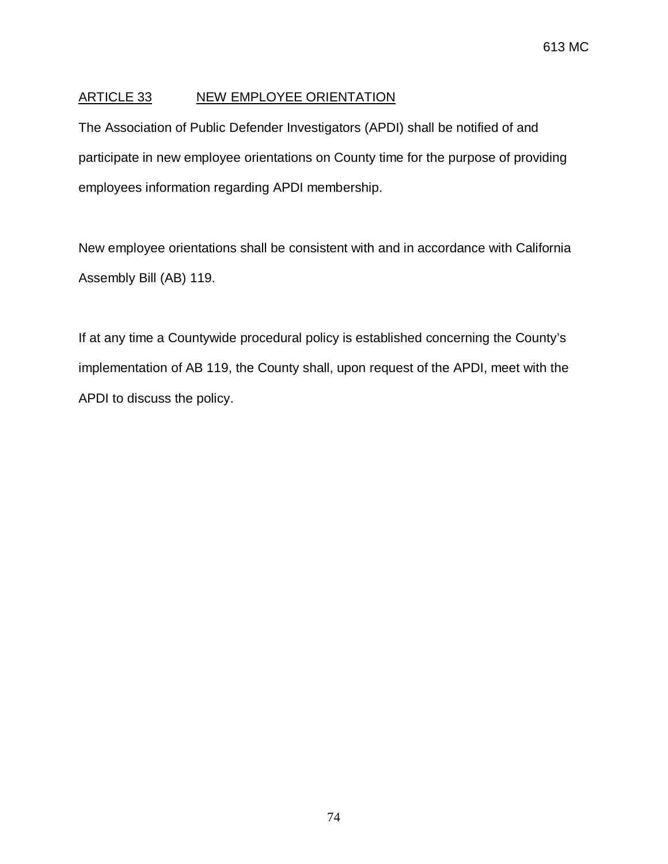# ARTICLE 33 NEW EMPLOYEE ORIENTATION

The Association of Public Defender Investigators (APDI) shall be notified of and participate in new employee orientations on County time for the purpose of providing employees information regarding APDI membership.

New employee orientations shall be consistent with and in accordance with California Assembly Bill (AB) 119.

If at any time a Countywide procedural policy is established concerning the County's implementation of AB 119, the County shall, upon request of the APDI, meet with the APDI to discuss the policy.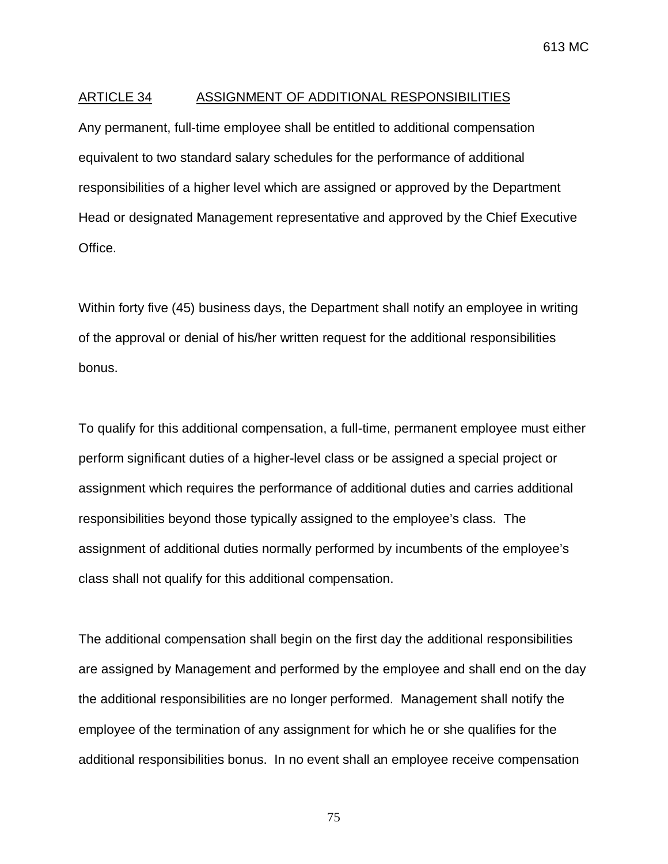#### ARTICLE 34 ASSIGNMENT OF ADDITIONAL RESPONSIBILITIES

Any permanent, full-time employee shall be entitled to additional compensation equivalent to two standard salary schedules for the performance of additional responsibilities of a higher level which are assigned or approved by the Department Head or designated Management representative and approved by the Chief Executive Office.

Within forty five (45) business days, the Department shall notify an employee in writing of the approval or denial of his/her written request for the additional responsibilities bonus.

To qualify for this additional compensation, a full-time, permanent employee must either perform significant duties of a higher-level class or be assigned a special project or assignment which requires the performance of additional duties and carries additional responsibilities beyond those typically assigned to the employee's class. The assignment of additional duties normally performed by incumbents of the employee's class shall not qualify for this additional compensation.

The additional compensation shall begin on the first day the additional responsibilities are assigned by Management and performed by the employee and shall end on the day the additional responsibilities are no longer performed. Management shall notify the employee of the termination of any assignment for which he or she qualifies for the additional responsibilities bonus. In no event shall an employee receive compensation

75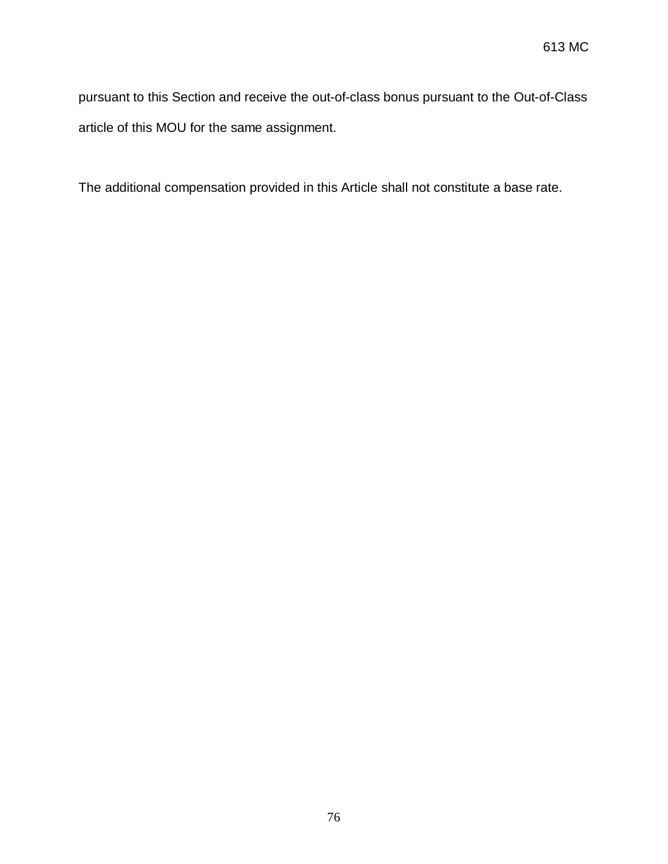pursuant to this Section and receive the out-of-class bonus pursuant to the Out-of-Class article of this MOU for the same assignment.

The additional compensation provided in this Article shall not constitute a base rate.